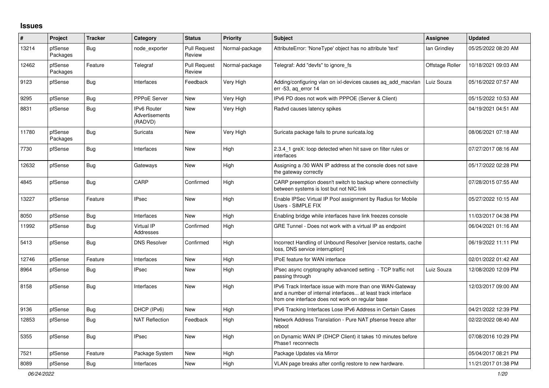## **Issues**

| #     | Project             | <b>Tracker</b> | Category                                 | <b>Status</b>                 | <b>Priority</b> | <b>Subject</b>                                                                                                                                                                | Assignee        | <b>Updated</b>      |
|-------|---------------------|----------------|------------------------------------------|-------------------------------|-----------------|-------------------------------------------------------------------------------------------------------------------------------------------------------------------------------|-----------------|---------------------|
| 13214 | pfSense<br>Packages | <b>Bug</b>     | node exporter                            | <b>Pull Request</b><br>Review | Normal-package  | AttributeError: 'NoneType' object has no attribute 'text'                                                                                                                     | lan Grindley    | 05/25/2022 08:20 AM |
| 12462 | pfSense<br>Packages | Feature        | Telegraf                                 | <b>Pull Request</b><br>Review | Normal-package  | Telegraf: Add "devfs" to ignore fs                                                                                                                                            | Offstage Roller | 10/18/2021 09:03 AM |
| 9123  | pfSense             | <b>Bug</b>     | Interfaces                               | Feedback                      | Very High       | Adding/configuring vlan on ixl-devices causes aq_add_macvlan<br>err $-53$ , ag error $14$                                                                                     | Luiz Souza      | 05/16/2022 07:57 AM |
| 9295  | pfSense             | <b>Bug</b>     | PPPoE Server                             | <b>New</b>                    | Very High       | IPv6 PD does not work with PPPOE (Server & Client)                                                                                                                            |                 | 05/15/2022 10:53 AM |
| 8831  | pfSense             | <b>Bug</b>     | IPv6 Router<br>Advertisements<br>(RADVD) | New                           | Very High       | Radvd causes latency spikes                                                                                                                                                   |                 | 04/19/2021 04:51 AM |
| 11780 | pfSense<br>Packages | <b>Bug</b>     | Suricata                                 | New                           | Very High       | Suricata package fails to prune suricata.log                                                                                                                                  |                 | 08/06/2021 07:18 AM |
| 7730  | pfSense             | Bug            | Interfaces                               | <b>New</b>                    | High            | 2.3.4 1 greX: loop detected when hit save on filter rules or<br>interfaces                                                                                                    |                 | 07/27/2017 08:16 AM |
| 12632 | pfSense             | Bug            | Gateways                                 | <b>New</b>                    | High            | Assigning a /30 WAN IP address at the console does not save<br>the gateway correctly                                                                                          |                 | 05/17/2022 02:28 PM |
| 4845  | pfSense             | <b>Bug</b>     | CARP                                     | Confirmed                     | High            | CARP preemption doesn't switch to backup where connectivity<br>between systems is lost but not NIC link                                                                       |                 | 07/28/2015 07:55 AM |
| 13227 | pfSense             | Feature        | <b>IPsec</b>                             | <b>New</b>                    | High            | Enable IPSec Virtual IP Pool assignment by Radius for Mobile<br>Users - SIMPLE FIX                                                                                            |                 | 05/27/2022 10:15 AM |
| 8050  | pfSense             | <b>Bug</b>     | Interfaces                               | <b>New</b>                    | High            | Enabling bridge while interfaces have link freezes console                                                                                                                    |                 | 11/03/2017 04:38 PM |
| 11992 | pfSense             | Bug            | Virtual IP<br>Addresses                  | Confirmed                     | High            | GRE Tunnel - Does not work with a virtual IP as endpoint                                                                                                                      |                 | 06/04/2021 01:16 AM |
| 5413  | pfSense             | Bug            | <b>DNS Resolver</b>                      | Confirmed                     | High            | Incorrect Handling of Unbound Resolver [service restarts, cache<br>loss, DNS service interruption]                                                                            |                 | 06/19/2022 11:11 PM |
| 12746 | pfSense             | Feature        | Interfaces                               | <b>New</b>                    | High            | <b>IPoE</b> feature for WAN interface                                                                                                                                         |                 | 02/01/2022 01:42 AM |
| 8964  | pfSense             | Bug            | <b>IPsec</b>                             | <b>New</b>                    | High            | IPsec async cryptography advanced setting - TCP traffic not<br>passing through                                                                                                | Luiz Souza      | 12/08/2020 12:09 PM |
| 8158  | pfSense             | <b>Bug</b>     | Interfaces                               | <b>New</b>                    | High            | IPv6 Track Interface issue with more than one WAN-Gateway<br>and a number of internal interfaces at least track interface<br>from one interface does not work on regular base |                 | 12/03/2017 09:00 AM |
| 9136  | pfSense             | <b>Bug</b>     | DHCP (IPv6)                              | New                           | High            | IPv6 Tracking Interfaces Lose IPv6 Address in Certain Cases                                                                                                                   |                 | 04/21/2022 12:39 PM |
| 12853 | pfSense             | Bug            | <b>NAT Reflection</b>                    | Feedback                      | High            | Network Address Translation - Pure NAT pfsense freeze after<br>reboot                                                                                                         |                 | 02/22/2022 08:40 AM |
| 5355  | pfSense             | <b>Bug</b>     | <b>IPsec</b>                             | <b>New</b>                    | High            | on Dynamic WAN IP (DHCP Client) it takes 10 minutes before<br>Phase1 reconnects                                                                                               |                 | 07/08/2016 10:29 PM |
| 7521  | pfSense             | Feature        | Package System                           | New                           | High            | Package Updates via Mirror                                                                                                                                                    |                 | 05/04/2017 08:21 PM |
| 8089  | pfSense             | Bug            | Interfaces                               | <b>New</b>                    | High            | VLAN page breaks after config restore to new hardware.                                                                                                                        |                 | 11/21/2017 01:38 PM |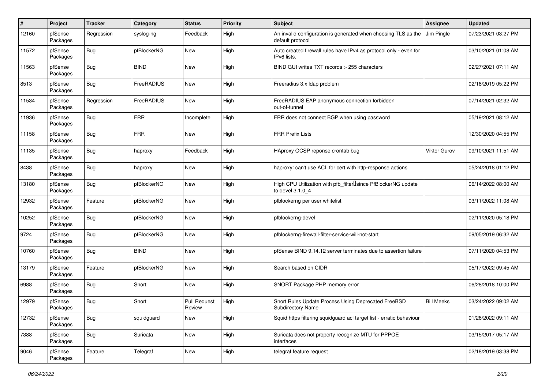| $\sharp$ | Project             | <b>Tracker</b> | Category    | <b>Status</b>                 | <b>Priority</b> | Subject                                                                            | <b>Assignee</b>   | <b>Updated</b>      |
|----------|---------------------|----------------|-------------|-------------------------------|-----------------|------------------------------------------------------------------------------------|-------------------|---------------------|
| 12160    | pfSense<br>Packages | Regression     | syslog-ng   | Feedback                      | High            | An invalid configuration is generated when choosing TLS as the<br>default protocol | Jim Pingle        | 07/23/2021 03:27 PM |
| 11572    | pfSense<br>Packages | Bug            | pfBlockerNG | New                           | High            | Auto created firewall rules have IPv4 as protocol only - even for<br>IPv6 lists.   |                   | 03/10/2021 01:08 AM |
| 11563    | pfSense<br>Packages | Bug            | <b>BIND</b> | <b>New</b>                    | High            | BIND GUI writes TXT records > 255 characters                                       |                   | 02/27/2021 07:11 AM |
| 8513     | pfSense<br>Packages | Bug            | FreeRADIUS  | New                           | High            | Freeradius 3.x Idap problem                                                        |                   | 02/18/2019 05:22 PM |
| 11534    | pfSense<br>Packages | Regression     | FreeRADIUS  | New                           | High            | FreeRADIUS EAP anonymous connection forbidden<br>out-of-tunnel                     |                   | 07/14/2021 02:32 AM |
| 11936    | pfSense<br>Packages | Bug            | <b>FRR</b>  | Incomplete                    | High            | FRR does not connect BGP when using password                                       |                   | 05/19/2021 08:12 AM |
| 11158    | pfSense<br>Packages | Bug            | <b>FRR</b>  | New                           | High            | <b>FRR Prefix Lists</b>                                                            |                   | 12/30/2020 04:55 PM |
| 11135    | pfSense<br>Packages | Bug            | haproxy     | Feedback                      | High            | HAproxy OCSP reponse crontab bug                                                   | Viktor Gurov      | 09/10/2021 11:51 AM |
| 8438     | pfSense<br>Packages | Bug            | haproxy     | New                           | High            | haproxy: can't use ACL for cert with http-response actions                         |                   | 05/24/2018 01:12 PM |
| 13180    | pfSense<br>Packages | <b>Bug</b>     | pfBlockerNG | New                           | High            | High CPU Utilization with pfb_filterlsince PfBlockerNG update<br>to devel 3.1.0_4  |                   | 06/14/2022 08:00 AM |
| 12932    | pfSense<br>Packages | Feature        | pfBlockerNG | New                           | High            | pfblockerng per user whitelist                                                     |                   | 03/11/2022 11:08 AM |
| 10252    | pfSense<br>Packages | Bug            | pfBlockerNG | New                           | High            | pfblockerng-devel                                                                  |                   | 02/11/2020 05:18 PM |
| 9724     | pfSense<br>Packages | Bug            | pfBlockerNG | New                           | High            | pfblockerng-firewall-filter-service-will-not-start                                 |                   | 09/05/2019 06:32 AM |
| 10760    | pfSense<br>Packages | Bug            | <b>BIND</b> | New                           | High            | pfSense BIND 9.14.12 server terminates due to assertion failure                    |                   | 07/11/2020 04:53 PM |
| 13179    | pfSense<br>Packages | Feature        | pfBlockerNG | New                           | High            | Search based on CIDR                                                               |                   | 05/17/2022 09:45 AM |
| 6988     | pfSense<br>Packages | Bug            | Snort       | New                           | High            | SNORT Package PHP memory error                                                     |                   | 06/28/2018 10:00 PM |
| 12979    | pfSense<br>Packages | Bug            | Snort       | <b>Pull Request</b><br>Review | High            | Snort Rules Update Process Using Deprecated FreeBSD<br><b>Subdirectory Name</b>    | <b>Bill Meeks</b> | 03/24/2022 09:02 AM |
| 12732    | pfSense<br>Packages | <b>Bug</b>     | squidguard  | New                           | High            | Squid https filtering squidguard acl target list - erratic behaviour               |                   | 01/26/2022 09:11 AM |
| 7388     | pfSense<br>Packages | <b>Bug</b>     | Suricata    | New                           | High            | Suricata does not property recognize MTU for PPPOE<br>interfaces                   |                   | 03/15/2017 05:17 AM |
| 9046     | pfSense<br>Packages | Feature        | Telegraf    | New                           | High            | telegraf feature request                                                           |                   | 02/18/2019 03:38 PM |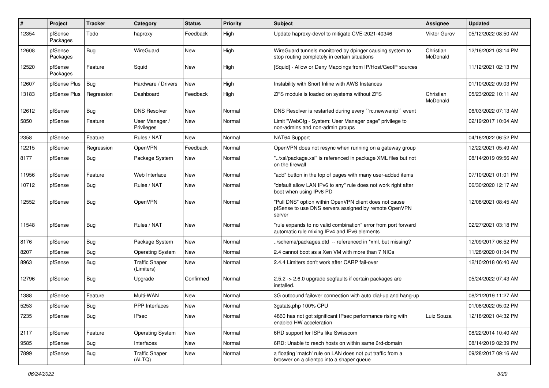| #     | Project             | <b>Tracker</b> | Category                            | <b>Status</b> | <b>Priority</b> | <b>Subject</b>                                                                                                            | Assignee              | <b>Updated</b>      |
|-------|---------------------|----------------|-------------------------------------|---------------|-----------------|---------------------------------------------------------------------------------------------------------------------------|-----------------------|---------------------|
| 12354 | pfSense<br>Packages | Todo           | haproxy                             | Feedback      | High            | Update haproxy-devel to mitigate CVE-2021-40346                                                                           | <b>Viktor Gurov</b>   | 05/12/2022 08:50 AM |
| 12608 | pfSense<br>Packages | Bug            | WireGuard                           | <b>New</b>    | High            | WireGuard tunnels monitored by dpinger causing system to<br>stop routing completely in certain situations                 | Christian<br>McDonald | 12/16/2021 03:14 PM |
| 12520 | pfSense<br>Packages | Feature        | Squid                               | <b>New</b>    | High            | [Squid] - Allow or Deny Mappings from IP/Host/GeoIP sources                                                               |                       | 11/12/2021 02:13 PM |
| 12607 | pfSense Plus        | Bug            | Hardware / Drivers                  | <b>New</b>    | High            | Instability with Snort Inline with AWS Instances                                                                          |                       | 01/10/2022 09:03 PM |
| 13183 | pfSense Plus        | Regression     | Dashboard                           | Feedback      | High            | ZFS module is loaded on systems without ZFS                                                                               | Christian<br>McDonald | 05/23/2022 10:11 AM |
| 12612 | pfSense             | Bug            | <b>DNS Resolver</b>                 | <b>New</b>    | Normal          | DNS Resolver is restarted during every "rc.newwanip" event                                                                |                       | 06/03/2022 07:13 AM |
| 5850  | pfSense             | Feature        | User Manager /<br>Privileges        | <b>New</b>    | Normal          | Limit "WebCfg - System: User Manager page" privilege to<br>non-admins and non-admin groups                                |                       | 02/19/2017 10:04 AM |
| 2358  | pfSense             | Feature        | Rules / NAT                         | <b>New</b>    | Normal          | NAT64 Support                                                                                                             |                       | 04/16/2022 06:52 PM |
| 12215 | pfSense             | Regression     | OpenVPN                             | Feedback      | Normal          | OpenVPN does not resync when running on a gateway group                                                                   |                       | 12/22/2021 05:49 AM |
| 8177  | pfSense             | <b>Bug</b>     | Package System                      | New           | Normal          | "/xsl/package.xsl" is referenced in package XML files but not<br>on the firewall                                          |                       | 08/14/2019 09:56 AM |
| 11956 | pfSense             | Feature        | Web Interface                       | <b>New</b>    | Normal          | "add" button in the top of pages with many user-added items                                                               |                       | 07/10/2021 01:01 PM |
| 10712 | pfSense             | Bug            | Rules / NAT                         | New           | Normal          | "default allow LAN IPv6 to any" rule does not work right after<br>boot when using IPv6 PD                                 |                       | 06/30/2020 12:17 AM |
| 12552 | pfSense             | Bug            | OpenVPN                             | <b>New</b>    | Normal          | "Pull DNS" option within OpenVPN client does not cause<br>pfSense to use DNS servers assigned by remote OpenVPN<br>server |                       | 12/08/2021 08:45 AM |
| 11548 | pfSense             | <b>Bug</b>     | Rules / NAT                         | <b>New</b>    | Normal          | "rule expands to no valid combination" error from port forward<br>automatic rule mixing IPv4 and IPv6 elements            |                       | 02/27/2021 03:18 PM |
| 8176  | pfSense             | Bug            | Package System                      | <b>New</b>    | Normal          | /schema/packages.dtd -- referenced in *xml, but missing?                                                                  |                       | 12/09/2017 06:52 PM |
| 8207  | pfSense             | <b>Bug</b>     | <b>Operating System</b>             | <b>New</b>    | Normal          | 2.4 cannot boot as a Xen VM with more than 7 NICs                                                                         |                       | 11/28/2020 01:04 PM |
| 8963  | pfSense             | Bug            | <b>Traffic Shaper</b><br>(Limiters) | <b>New</b>    | Normal          | 2.4.4 Limiters don't work after CARP fail-over                                                                            |                       | 12/10/2018 06:40 AM |
| 12796 | pfSense             | Bug            | Upgrade                             | Confirmed     | Normal          | 2.5.2 -> 2.6.0 upgrade segfaults if certain packages are<br>installed.                                                    |                       | 05/24/2022 07:43 AM |
| 1388  | pfSense             | Feature        | Multi-WAN                           | New           | Normal          | 3G outbound failover connection with auto dial-up and hang-up                                                             |                       | 08/21/2019 11:27 AM |
| 5253  | pfSense             | Bug            | PPP Interfaces                      | New           | Normal          | 3gstats.php 100% CPU                                                                                                      |                       | 01/08/2022 05:02 PM |
| 7235  | pfSense             | <b>Bug</b>     | <b>IPsec</b>                        | New           | Normal          | 4860 has not got significant IPsec performance rising with<br>enabled HW acceleration                                     | Luiz Souza            | 12/18/2021 04:32 PM |
| 2117  | pfSense             | Feature        | <b>Operating System</b>             | New           | Normal          | 6RD support for ISPs like Swisscom                                                                                        |                       | 08/22/2014 10:40 AM |
| 9585  | pfSense             | <b>Bug</b>     | Interfaces                          | <b>New</b>    | Normal          | 6RD: Unable to reach hosts on within same 6rd-domain                                                                      |                       | 08/14/2019 02:39 PM |
| 7899  | pfSense             | <b>Bug</b>     | <b>Traffic Shaper</b><br>(ALTQ)     | New           | Normal          | a floating 'match' rule on LAN does not put traffic from a<br>broswer on a clientpc into a shaper queue                   |                       | 09/28/2017 09:16 AM |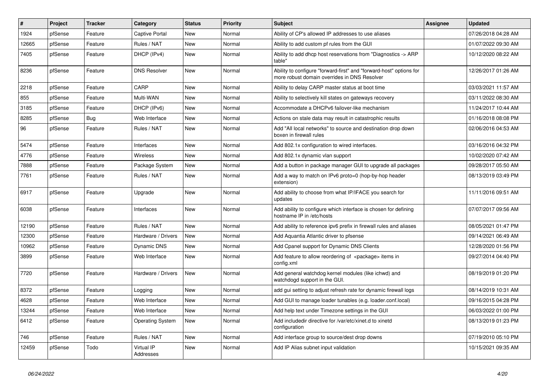| #     | Project | <b>Tracker</b> | Category                | <b>Status</b> | <b>Priority</b> | <b>Subject</b>                                                                                                      | Assignee | <b>Updated</b>      |
|-------|---------|----------------|-------------------------|---------------|-----------------|---------------------------------------------------------------------------------------------------------------------|----------|---------------------|
| 1924  | pfSense | Feature        | <b>Captive Portal</b>   | <b>New</b>    | Normal          | Ability of CP's allowed IP addresses to use aliases                                                                 |          | 07/26/2018 04:28 AM |
| 12665 | pfSense | Feature        | Rules / NAT             | <b>New</b>    | Normal          | Ability to add custom pf rules from the GUI                                                                         |          | 01/07/2022 09:30 AM |
| 7405  | pfSense | Feature        | DHCP (IPv4)             | <b>New</b>    | Normal          | Ability to add dhcp host reservations from "Diagnostics -> ARP<br>table"                                            |          | 10/12/2020 08:22 AM |
| 8236  | pfSense | Feature        | <b>DNS Resolver</b>     | <b>New</b>    | Normal          | Ability to configure "forward-first" and "forward-host" options for<br>more robust domain overrides in DNS Resolver |          | 12/26/2017 01:26 AM |
| 2218  | pfSense | Feature        | CARP                    | <b>New</b>    | Normal          | Ability to delay CARP master status at boot time                                                                    |          | 03/03/2021 11:57 AM |
| 855   | pfSense | Feature        | Multi-WAN               | <b>New</b>    | Normal          | Ability to selectively kill states on gateways recovery                                                             |          | 03/11/2022 08:30 AM |
| 3185  | pfSense | Feature        | DHCP (IPv6)             | <b>New</b>    | Normal          | Accommodate a DHCPv6 failover-like mechanism                                                                        |          | 11/24/2017 10:44 AM |
| 8285  | pfSense | Bug            | Web Interface           | New           | Normal          | Actions on stale data may result in catastrophic results                                                            |          | 01/16/2018 08:08 PM |
| 96    | pfSense | Feature        | Rules / NAT             | <b>New</b>    | Normal          | Add "All local networks" to source and destination drop down<br>boxen in firewall rules                             |          | 02/06/2016 04:53 AM |
| 5474  | pfSense | Feature        | Interfaces              | <b>New</b>    | Normal          | Add 802.1x configuration to wired interfaces.                                                                       |          | 03/16/2016 04:32 PM |
| 4776  | pfSense | Feature        | <b>Wireless</b>         | <b>New</b>    | Normal          | Add 802.1x dynamic vlan support                                                                                     |          | 10/02/2020 07:42 AM |
| 7888  | pfSense | Feature        | Package System          | <b>New</b>    | Normal          | Add a button in package manager GUI to upgrade all packages                                                         |          | 09/28/2017 05:50 AM |
| 7761  | pfSense | Feature        | Rules / NAT             | <b>New</b>    | Normal          | Add a way to match on IPv6 proto=0 (hop-by-hop header<br>extension)                                                 |          | 08/13/2019 03:49 PM |
| 6917  | pfSense | Feature        | Upgrade                 | <b>New</b>    | Normal          | Add ability to choose from what IP/IFACE you search for<br>updates                                                  |          | 11/11/2016 09:51 AM |
| 6038  | pfSense | Feature        | Interfaces              | <b>New</b>    | Normal          | Add ability to configure which interface is chosen for defining<br>hostname IP in /etc/hosts                        |          | 07/07/2017 09:56 AM |
| 12190 | pfSense | Feature        | Rules / NAT             | <b>New</b>    | Normal          | Add ability to reference ipv6 prefix in firewall rules and aliases                                                  |          | 08/05/2021 01:47 PM |
| 12300 | pfSense | Feature        | Hardware / Drivers      | New           | Normal          | Add Aquantia Atlantic driver to pfsense                                                                             |          | 09/14/2021 06:49 AM |
| 10962 | pfSense | Feature        | Dynamic DNS             | New           | Normal          | Add Cpanel support for Dynamic DNS Clients                                                                          |          | 12/28/2020 01:56 PM |
| 3899  | pfSense | Feature        | Web Interface           | <b>New</b>    | Normal          | Add feature to allow reordering of <package> items in<br/>config.xml</package>                                      |          | 09/27/2014 04:40 PM |
| 7720  | pfSense | Feature        | Hardware / Drivers      | <b>New</b>    | Normal          | Add general watchdog kernel modules (like ichwd) and<br>watchdogd support in the GUI.                               |          | 08/19/2019 01:20 PM |
| 8372  | pfSense | Feature        | Logging                 | <b>New</b>    | Normal          | add gui setting to adjust refresh rate for dynamic firewall logs                                                    |          | 08/14/2019 10:31 AM |
| 4628  | pfSense | Feature        | Web Interface           | New           | Normal          | Add GUI to manage loader tunables (e.g. loader.conf.local)                                                          |          | 09/16/2015 04:28 PM |
| 13244 | pfSense | Feature        | Web Interface           | <b>New</b>    | Normal          | Add help text under Timezone settings in the GUI                                                                    |          | 06/03/2022 01:00 PM |
| 6412  | pfSense | Feature        | <b>Operating System</b> | <b>New</b>    | Normal          | Add includedir directive for /var/etc/xinet.d to xinetd<br>configuration                                            |          | 08/13/2019 01:23 PM |
| 746   | pfSense | Feature        | Rules / NAT             | <b>New</b>    | Normal          | Add interface group to source/dest drop downs                                                                       |          | 07/19/2010 05:10 PM |
| 12459 | pfSense | Todo           | Virtual IP<br>Addresses | <b>New</b>    | Normal          | Add IP Alias subnet input validation                                                                                |          | 10/15/2021 09:35 AM |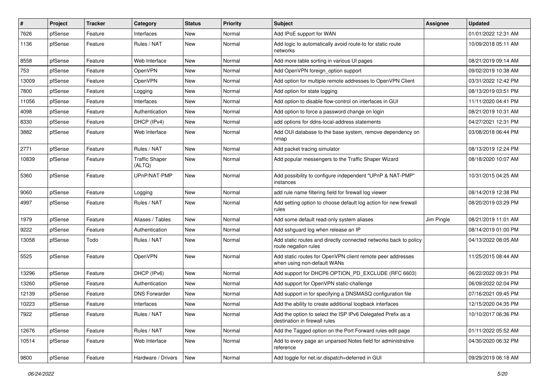| #     | Project | <b>Tracker</b> | Category                        | <b>Status</b> | <b>Priority</b> | <b>Subject</b>                                                                               | <b>Assignee</b> | <b>Updated</b>      |
|-------|---------|----------------|---------------------------------|---------------|-----------------|----------------------------------------------------------------------------------------------|-----------------|---------------------|
| 7626  | pfSense | Feature        | Interfaces                      | New           | Normal          | Add IPoE support for WAN                                                                     |                 | 01/01/2022 12:31 AM |
| 1136  | pfSense | Feature        | Rules / NAT                     | <b>New</b>    | Normal          | Add logic to automatically avoid route-to for static route<br>networks                       |                 | 10/09/2018 05:11 AM |
| 8558  | pfSense | Feature        | Web Interface                   | New           | Normal          | Add more table sorting in various UI pages                                                   |                 | 08/21/2019 09:14 AM |
| 753   | pfSense | Feature        | OpenVPN                         | <b>New</b>    | Normal          | Add OpenVPN foreign_option support                                                           |                 | 09/02/2019 10:38 AM |
| 13009 | pfSense | Feature        | OpenVPN                         | New           | Normal          | Add option for multiple remote addresses to OpenVPN Client                                   |                 | 03/31/2022 12:42 PM |
| 7800  | pfSense | Feature        | Logging                         | New           | Normal          | Add option for state logging                                                                 |                 | 08/13/2019 03:51 PM |
| 11056 | pfSense | Feature        | Interfaces                      | New           | Normal          | Add option to disable flow-control on interfaces in GUI                                      |                 | 11/11/2020 04:41 PM |
| 4098  | pfSense | Feature        | Authentication                  | New           | Normal          | Add option to force a password change on login                                               |                 | 08/21/2019 10:31 AM |
| 8330  | pfSense | Feature        | DHCP (IPv4)                     | <b>New</b>    | Normal          | add options for ddns-local-address statements                                                |                 | 04/27/2021 12:31 PM |
| 3882  | pfSense | Feature        | Web Interface                   | New           | Normal          | Add OUI database to the base system, remove dependency on<br>nmap                            |                 | 03/08/2018 06:44 PM |
| 2771  | pfSense | Feature        | Rules / NAT                     | <b>New</b>    | Normal          | Add packet tracing simulator                                                                 |                 | 08/13/2019 12:24 PM |
| 10839 | pfSense | Feature        | <b>Traffic Shaper</b><br>(ALTQ) | New           | Normal          | Add popular messengers to the Traffic Shaper Wizard                                          |                 | 08/18/2020 10:07 AM |
| 5360  | pfSense | Feature        | UPnP/NAT-PMP                    | <b>New</b>    | Normal          | Add possibility to configure independent "UPnP & NAT-PMP"<br>instances                       |                 | 10/31/2015 04:25 AM |
| 9060  | pfSense | Feature        | Logging                         | <b>New</b>    | Normal          | add rule name filtering field for firewall log viewer                                        |                 | 08/14/2019 12:38 PM |
| 4997  | pfSense | Feature        | Rules / NAT                     | New           | Normal          | Add setting option to choose default log action for new firewall<br>rules                    |                 | 08/20/2019 03:29 PM |
| 1979  | pfSense | Feature        | Aliases / Tables                | <b>New</b>    | Normal          | Add some default read-only system aliases                                                    | Jim Pingle      | 08/21/2019 11:01 AM |
| 9222  | pfSense | Feature        | Authentication                  | New           | Normal          | Add sshguard log when release an IP                                                          |                 | 08/14/2019 01:00 PM |
| 13058 | pfSense | Todo           | Rules / NAT                     | New           | Normal          | Add static routes and directly connected networks back to policy<br>route negation rules     |                 | 04/13/2022 08:05 AM |
| 5525  | pfSense | Feature        | OpenVPN                         | <b>New</b>    | Normal          | Add static routes for OpenVPN client remote peer addresses<br>when using non-default WANs    |                 | 11/25/2015 08:44 AM |
| 13296 | pfSense | Feature        | DHCP (IPv6)                     | New           | Normal          | Add support for DHCP6 OPTION_PD_EXCLUDE (RFC 6603)                                           |                 | 06/22/2022 09:31 PM |
| 13260 | pfSense | Feature        | Authentication                  | New           | Normal          | Add support for OpenVPN static-challenge                                                     |                 | 06/09/2022 02:04 PM |
| 12139 | pfSense | Feature        | <b>DNS Forwarder</b>            | <b>New</b>    | Normal          | Add support in for specifying a DNSMASQ configuration file                                   |                 | 07/16/2021 09:45 PM |
| 10223 | pfSense | Feature        | Interfaces                      | New           | Normal          | Add the ability to create additional loopback interfaces                                     |                 | 12/15/2020 04:35 PM |
| 7922  | pfSense | Feature        | Rules / NAT                     | New           | Normal          | Add the option to select the ISP IPv6 Delegated Prefix as a<br>destination in firewall rules |                 | 10/10/2017 06:36 PM |
| 12676 | pfSense | Feature        | Rules / NAT                     | New           | Normal          | Add the Tagged option on the Port Forward rules edit page                                    |                 | 01/11/2022 05:52 AM |
| 10514 | pfSense | Feature        | Web Interface                   | New           | Normal          | Add to every page an unparsed Notes field for administrative<br>reference                    |                 | 04/30/2020 06:32 PM |
| 9800  | pfSense | Feature        | Hardware / Drivers              | New           | Normal          | Add toggle for net.isr.dispatch=deferred in GUI                                              |                 | 09/29/2019 06:18 AM |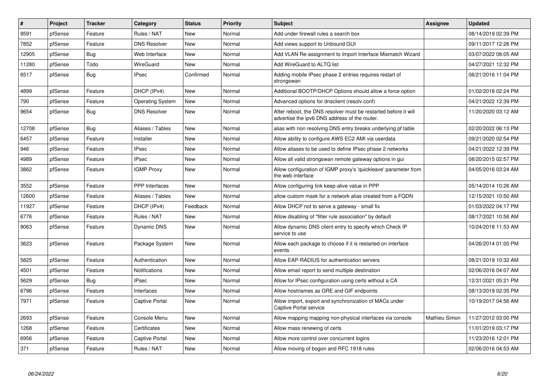| $\vert$ # | Project | <b>Tracker</b> | Category                | <b>Status</b> | <b>Priority</b> | <b>Subject</b>                                                                                                   | <b>Assignee</b> | <b>Updated</b>      |
|-----------|---------|----------------|-------------------------|---------------|-----------------|------------------------------------------------------------------------------------------------------------------|-----------------|---------------------|
| 9591      | pfSense | Feature        | Rules / NAT             | New           | Normal          | Add under firewall rules a search box                                                                            |                 | 08/14/2019 02:39 PM |
| 7852      | pfSense | Feature        | <b>DNS Resolver</b>     | New           | Normal          | Add views support to Unbound GUI                                                                                 |                 | 09/11/2017 12:26 PM |
| 12905     | pfSense | Bug            | Web Interface           | New           | Normal          | Add VLAN Re-assignment to Import Interface Mismatch Wizard                                                       |                 | 03/07/2022 08:05 AM |
| 11280     | pfSense | Todo           | WireGuard               | <b>New</b>    | Normal          | Add WireGuard to ALTQ list                                                                                       |                 | 04/27/2021 12:32 PM |
| 6517      | pfSense | Bug            | <b>IPsec</b>            | Confirmed     | Normal          | Adding mobile IPsec phase 2 entries requires restart of<br>strongswan                                            |                 | 06/21/2016 11:04 PM |
| 4899      | pfSense | Feature        | DHCP (IPv4)             | New           | Normal          | Additional BOOTP/DHCP Options should allow a force option                                                        |                 | 01/02/2018 02:24 PM |
| 790       | pfSense | Feature        | <b>Operating System</b> | New           | Normal          | Advanced options for dnsclient (resolv.conf)                                                                     |                 | 04/21/2022 12:39 PM |
| 9654      | pfSense | <b>Bug</b>     | <b>DNS Resolver</b>     | New           | Normal          | After reboot, the DNS resolver must be restarted before it will<br>advertise the ipv6 DNS address of the router. |                 | 11/20/2020 03:12 AM |
| 12708     | pfSense | <b>Bug</b>     | Aliases / Tables        | New           | Normal          | alias with non resolving DNS entry breaks underlying pf table                                                    |                 | 02/20/2022 06:13 PM |
| 6457      | pfSense | Feature        | Installer               | New           | Normal          | Allow ability to configure AWS EC2 AMI via userdata                                                              |                 | 09/21/2020 02:54 PM |
| 946       | pfSense | Feature        | <b>IPsec</b>            | New           | Normal          | Allow aliases to be used to define IPsec phase 2 networks                                                        |                 | 04/21/2022 12:39 PM |
| 4989      | pfSense | Feature        | <b>IPsec</b>            | New           | Normal          | Allow all valid strongswan remote gateway options in gui                                                         |                 | 08/20/2015 02:57 PM |
| 3862      | pfSense | Feature        | <b>IGMP Proxy</b>       | <b>New</b>    | Normal          | Allow configuration of IGMP proxy's 'quickleave' parameter from<br>the web interface                             |                 | 04/05/2016 03:24 AM |
| 3552      | pfSense | Feature        | PPP Interfaces          | New           | Normal          | Allow configuring link keep-alive value in PPP                                                                   |                 | 05/14/2014 10:26 AM |
| 12600     | pfSense | Feature        | Aliases / Tables        | New           | Normal          | allow custom mask for a network alias created from a FQDN                                                        |                 | 12/15/2021 10:50 AM |
| 11927     | pfSense | Feature        | DHCP (IPv4)             | Feedback      | Normal          | Allow DHCP not to serve a gateway - small fix                                                                    |                 | 01/03/2022 04:17 PM |
| 6776      | pfSense | Feature        | Rules / NAT             | <b>New</b>    | Normal          | Allow disabling of "filter rule association" by default                                                          |                 | 08/17/2021 10:56 AM |
| 9063      | pfSense | Feature        | <b>Dynamic DNS</b>      | <b>New</b>    | Normal          | Allow dynamic DNS client entry to specify which Check IP<br>service to use                                       |                 | 10/24/2018 11:53 AM |
| 3623      | pfSense | Feature        | Package System          | New           | Normal          | Allow each package to choose if it is restarted on interface<br>events                                           |                 | 04/26/2014 01:00 PM |
| 5825      | pfSense | Feature        | Authentication          | New           | Normal          | Allow EAP-RADIUS for authentication servers                                                                      |                 | 08/21/2019 10:32 AM |
| 4501      | pfSense | Feature        | Notifications           | New           | Normal          | Allow email report to send multiple destination                                                                  |                 | 02/06/2016 04:07 AM |
| 5629      | pfSense | <b>Bug</b>     | <b>IPsec</b>            | New           | Normal          | Allow for IPsec configuration using certs without a CA                                                           |                 | 12/31/2021 05:21 PM |
| 6796      | pfSense | Feature        | Interfaces              | <b>New</b>    | Normal          | Allow hostnames as GRE and GIF endpoints                                                                         |                 | 08/13/2019 02:35 PM |
| 7971      | pfSense | Feature        | <b>Captive Portal</b>   | New           | Normal          | Allow import, export and synchronization of MACs under<br><b>Captive Portal service</b>                          |                 | 10/19/2017 04:56 AM |
| 2693      | pfSense | Feature        | Console Menu            | New           | Normal          | Allow mapping mapping non-physical interfaces via console                                                        | Mathieu Simon   | 11/27/2012 03:00 PM |
| 1268      | pfSense | Feature        | Certificates            | <b>New</b>    | Normal          | Allow mass renewing of certs                                                                                     |                 | 11/01/2019 03:17 PM |
| 6956      | pfSense | Feature        | <b>Captive Portal</b>   | New           | Normal          | Allow more control over concurrent logins                                                                        |                 | 11/23/2016 12:01 PM |
| 371       | pfSense | Feature        | Rules / NAT             | New           | Normal          | Allow moving of bogon and RFC 1918 rules                                                                         |                 | 02/06/2016 04:53 AM |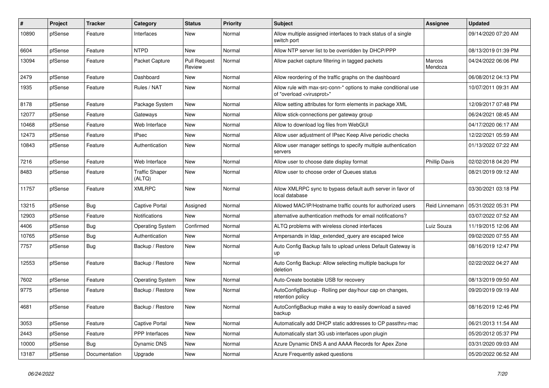| #     | Project | <b>Tracker</b> | Category                        | <b>Status</b>                 | <b>Priority</b> | <b>Subject</b>                                                                                          | Assignee             | <b>Updated</b>      |
|-------|---------|----------------|---------------------------------|-------------------------------|-----------------|---------------------------------------------------------------------------------------------------------|----------------------|---------------------|
| 10890 | pfSense | Feature        | Interfaces                      | New                           | Normal          | Allow multiple assigned interfaces to track status of a single<br>switch port                           |                      | 09/14/2020 07:20 AM |
| 6604  | pfSense | Feature        | <b>NTPD</b>                     | <b>New</b>                    | Normal          | Allow NTP server list to be overridden by DHCP/PPP                                                      |                      | 08/13/2019 01:39 PM |
| 13094 | pfSense | Feature        | Packet Capture                  | <b>Pull Request</b><br>Review | Normal          | Allow packet capture filtering in tagged packets                                                        | Marcos<br>Mendoza    | 04/24/2022 06:06 PM |
| 2479  | pfSense | Feature        | Dashboard                       | <b>New</b>                    | Normal          | Allow reordering of the traffic graphs on the dashboard                                                 |                      | 06/08/2012 04:13 PM |
| 1935  | pfSense | Feature        | Rules / NAT                     | <b>New</b>                    | Normal          | Allow rule with max-src-conn-* options to make conditional use<br>of "overload <virusprot>"</virusprot> |                      | 10/07/2011 09:31 AM |
| 8178  | pfSense | Feature        | Package System                  | <b>New</b>                    | Normal          | Allow setting attributes for form elements in package XML                                               |                      | 12/09/2017 07:48 PM |
| 12077 | pfSense | Feature        | Gateways                        | <b>New</b>                    | Normal          | Allow stick-connections per gateway group                                                               |                      | 06/24/2021 08:45 AM |
| 10468 | pfSense | Feature        | Web Interface                   | <b>New</b>                    | Normal          | Allow to download log files from WebGUI                                                                 |                      | 04/17/2020 06:17 AM |
| 12473 | pfSense | Feature        | <b>IPsec</b>                    | <b>New</b>                    | Normal          | Allow user adjustment of IPsec Keep Alive periodic checks                                               |                      | 12/22/2021 05:59 AM |
| 10843 | pfSense | Feature        | Authentication                  | <b>New</b>                    | Normal          | Allow user manager settings to specify multiple authentication<br>servers                               |                      | 01/13/2022 07:22 AM |
| 7216  | pfSense | Feature        | Web Interface                   | <b>New</b>                    | Normal          | Allow user to choose date display format                                                                | <b>Phillip Davis</b> | 02/02/2018 04:20 PM |
| 8483  | pfSense | Feature        | <b>Traffic Shaper</b><br>(ALTQ) | <b>New</b>                    | Normal          | Allow user to choose order of Queues status                                                             |                      | 08/21/2019 09:12 AM |
| 11757 | pfSense | Feature        | <b>XMLRPC</b>                   | <b>New</b>                    | Normal          | Allow XMLRPC sync to bypass default auth server in favor of<br>local database                           |                      | 03/30/2021 03:18 PM |
| 13215 | pfSense | <b>Bug</b>     | <b>Captive Portal</b>           | Assigned                      | Normal          | Allowed MAC/IP/Hostname traffic counts for authorized users                                             | Reid Linnemann       | 05/31/2022 05:31 PM |
| 12903 | pfSense | Feature        | Notifications                   | <b>New</b>                    | Normal          | alternative authentication methods for email notifications?                                             |                      | 03/07/2022 07:52 AM |
| 4406  | pfSense | <b>Bug</b>     | <b>Operating System</b>         | Confirmed                     | Normal          | ALTQ problems with wireless cloned interfaces                                                           | Luiz Souza           | 11/19/2015 12:06 AM |
| 10765 | pfSense | Bug            | Authentication                  | <b>New</b>                    | Normal          | Ampersands in Idap extended query are escaped twice                                                     |                      | 09/02/2020 07:55 AM |
| 7757  | pfSense | <b>Bug</b>     | Backup / Restore                | <b>New</b>                    | Normal          | Auto Config Backup fails to upload unless Default Gateway is<br>up                                      |                      | 08/16/2019 12:47 PM |
| 12553 | pfSense | Feature        | Backup / Restore                | <b>New</b>                    | Normal          | Auto Config Backup: Allow selecting multiple backups for<br>deletion                                    |                      | 02/22/2022 04:27 AM |
| 7602  | pfSense | Feature        | <b>Operating System</b>         | <b>New</b>                    | Normal          | Auto-Create bootable USB for recovery                                                                   |                      | 08/13/2019 09:50 AM |
| 9775  | pfSense | Feature        | Backup / Restore                | New                           | Normal          | AutoConfigBackup - Rolling per day/hour cap on changes,<br>retention policy                             |                      | 09/20/2019 09:19 AM |
| 4681  | pfSense | Feature        | Backup / Restore                | <b>New</b>                    | Normal          | AutoConfigBackup make a way to easily download a saved<br>backup                                        |                      | 08/16/2019 12:46 PM |
| 3053  | pfSense | Feature        | <b>Captive Portal</b>           | <b>New</b>                    | Normal          | Automatically add DHCP static addresses to CP passthru-mac                                              |                      | 06/21/2013 11:54 AM |
| 2443  | pfSense | Feature        | <b>PPP</b> Interfaces           | <b>New</b>                    | Normal          | Automatically start 3G usb interfaces upon plugin                                                       |                      | 05/20/2012 05:37 PM |
| 10000 | pfSense | <b>Bug</b>     | Dynamic DNS                     | <b>New</b>                    | Normal          | Azure Dynamic DNS A and AAAA Records for Apex Zone                                                      |                      | 03/31/2020 09:03 AM |
| 13187 | pfSense | Documentation  | Upgrade                         | <b>New</b>                    | Normal          | Azure Frequently asked questions                                                                        |                      | 05/20/2022 06:52 AM |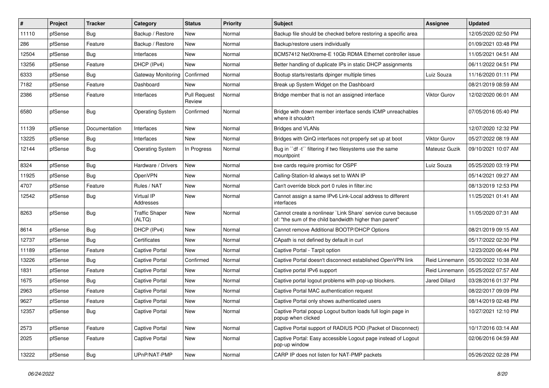| #     | Project | <b>Tracker</b> | Category                        | <b>Status</b>                 | <b>Priority</b> | Subject                                                                                                                 | Assignee             | <b>Updated</b>      |
|-------|---------|----------------|---------------------------------|-------------------------------|-----------------|-------------------------------------------------------------------------------------------------------------------------|----------------------|---------------------|
| 11110 | pfSense | Bug            | Backup / Restore                | New                           | Normal          | Backup file should be checked before restoring a specific area                                                          |                      | 12/05/2020 02:50 PM |
| 286   | pfSense | Feature        | Backup / Restore                | New                           | Normal          | Backup/restore users individually                                                                                       |                      | 01/09/2021 03:48 PM |
| 12504 | pfSense | <b>Bug</b>     | Interfaces                      | <b>New</b>                    | Normal          | BCM57412 NetXtreme-E 10Gb RDMA Ethernet controller issue                                                                |                      | 11/05/2021 04:51 AM |
| 13256 | pfSense | Feature        | DHCP (IPv4)                     | <b>New</b>                    | Normal          | Better handling of duplicate IPs in static DHCP assignments                                                             |                      | 06/11/2022 04:51 PM |
| 6333  | pfSense | <b>Bug</b>     | Gateway Monitoring              | Confirmed                     | Normal          | Bootup starts/restarts dpinger multiple times                                                                           | Luiz Souza           | 11/16/2020 01:11 PM |
| 7182  | pfSense | Feature        | Dashboard                       | New                           | Normal          | Break up System Widget on the Dashboard                                                                                 |                      | 08/21/2019 08:59 AM |
| 2386  | pfSense | Feature        | Interfaces                      | <b>Pull Request</b><br>Review | Normal          | Bridge member that is not an assigned interface                                                                         | <b>Viktor Gurov</b>  | 12/02/2020 06:01 AM |
| 6580  | pfSense | Bug            | <b>Operating System</b>         | Confirmed                     | Normal          | Bridge with down member interface sends ICMP unreachables<br>where it shouldn't                                         |                      | 07/05/2016 05:40 PM |
| 11139 | pfSense | Documentation  | Interfaces                      | <b>New</b>                    | Normal          | <b>Bridges and VLANs</b>                                                                                                |                      | 12/07/2020 12:32 PM |
| 13225 | pfSense | <b>Bug</b>     | Interfaces                      | New                           | Normal          | Bridges with QinQ interfaces not properly set up at boot                                                                | <b>Viktor Gurov</b>  | 05/27/2022 08:19 AM |
| 12144 | pfSense | <b>Bug</b>     | <b>Operating System</b>         | In Progress                   | Normal          | Bug in "df -t" filtering if two filesystems use the same<br>mountpoint                                                  | Mateusz Guzik        | 09/10/2021 10:07 AM |
| 8324  | pfSense | Bug            | Hardware / Drivers              | New                           | Normal          | bxe cards require promisc for OSPF                                                                                      | Luiz Souza           | 05/25/2020 03:19 PM |
| 11925 | pfSense | Bug            | OpenVPN                         | <b>New</b>                    | Normal          | Calling-Station-Id always set to WAN IP                                                                                 |                      | 05/14/2021 09:27 AM |
| 4707  | pfSense | Feature        | Rules / NAT                     | New                           | Normal          | Can't override block port 0 rules in filter.inc                                                                         |                      | 08/13/2019 12:53 PM |
| 12542 | pfSense | <b>Bug</b>     | Virtual IP<br>Addresses         | New                           | Normal          | Cannot assign a same IPv6 Link-Local address to different<br>interfaces                                                 |                      | 11/25/2021 01:41 AM |
| 8263  | pfSense | Bug            | <b>Traffic Shaper</b><br>(ALTQ) | <b>New</b>                    | Normal          | Cannot create a nonlinear `Link Share` service curve because<br>of: "the sum of the child bandwidth higher than parent" |                      | 11/05/2020 07:31 AM |
| 8614  | pfSense | Bug            | DHCP (IPv4)                     | New                           | Normal          | Cannot remove Additional BOOTP/DHCP Options                                                                             |                      | 08/21/2019 09:15 AM |
| 12737 | pfSense | Bug            | Certificates                    | New                           | Normal          | CApath is not defined by default in curl                                                                                |                      | 05/17/2022 02:30 PM |
| 11189 | pfSense | Feature        | <b>Captive Portal</b>           | New                           | Normal          | Captive Portal - Tarpit option                                                                                          |                      | 12/23/2020 06:44 PM |
| 13226 | pfSense | Bug            | <b>Captive Portal</b>           | Confirmed                     | Normal          | Captive Portal doesn't disconnect established OpenVPN link                                                              | Reid Linnemann       | 05/30/2022 10:38 AM |
| 1831  | pfSense | Feature        | <b>Captive Portal</b>           | New                           | Normal          | Captive portal IPv6 support                                                                                             | Reid Linnemann       | 05/25/2022 07:57 AM |
| 1675  | pfSense | <b>Bug</b>     | <b>Captive Portal</b>           | New                           | Normal          | Captive portal logout problems with pop-up blockers.                                                                    | <b>Jared Dillard</b> | 03/28/2016 01:37 PM |
| 2963  | pfSense | Feature        | <b>Captive Portal</b>           | New                           | Normal          | Captive Portal MAC authentication request                                                                               |                      | 08/22/2017 09:09 PM |
| 9627  | pfSense | Feature        | <b>Captive Portal</b>           | New                           | Normal          | Captive Portal only shows authenticated users                                                                           |                      | 08/14/2019 02:48 PM |
| 12357 | pfSense | Bug            | Captive Portal                  | New                           | Normal          | Captive Portal popup Logout button loads full login page in<br>popup when clicked                                       |                      | 10/27/2021 12:10 PM |
| 2573  | pfSense | Feature        | <b>Captive Portal</b>           | New                           | Normal          | Captive Portal support of RADIUS POD (Packet of Disconnect)                                                             |                      | 10/17/2016 03:14 AM |
| 2025  | pfSense | Feature        | <b>Captive Portal</b>           | New                           | Normal          | Captive Portal: Easy accessible Logout page instead of Logout<br>pop-up window                                          |                      | 02/06/2016 04:59 AM |
| 13222 | pfSense | <b>Bug</b>     | UPnP/NAT-PMP                    | New                           | Normal          | CARP IP does not listen for NAT-PMP packets                                                                             |                      | 05/26/2022 02:28 PM |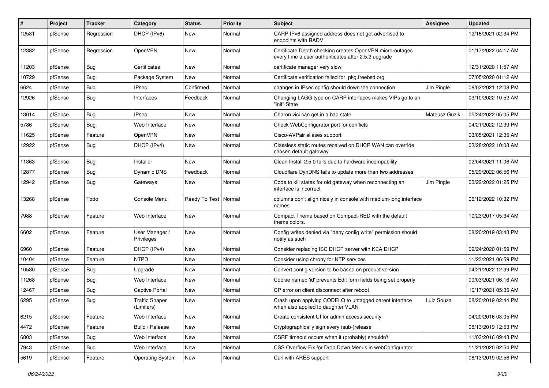| $\#$  | Project | Tracker    | Category                            | <b>Status</b> | <b>Priority</b> | Subject                                                                                                         | Assignee      | <b>Updated</b>      |
|-------|---------|------------|-------------------------------------|---------------|-----------------|-----------------------------------------------------------------------------------------------------------------|---------------|---------------------|
| 12581 | pfSense | Regression | DHCP (IPv6)                         | New           | Normal          | CARP IPv6 assigned address does not get advertised to<br>endpoints with RADV                                    |               | 12/16/2021 02:34 PM |
| 12382 | pfSense | Regression | OpenVPN                             | New           | Normal          | Certificate Depth checking creates OpenVPN micro-outages<br>every time a user authenticates after 2.5.2 upgrade |               | 01/17/2022 04:17 AM |
| 11203 | pfSense | Bug        | Certificates                        | <b>New</b>    | Normal          | certificate manager very slow                                                                                   |               | 12/31/2020 11:57 AM |
| 10729 | pfSense | Bug        | Package System                      | <b>New</b>    | Normal          | Certificate verification failed for pkg.freebsd.org                                                             |               | 07/05/2020 01:12 AM |
| 6624  | pfSense | <b>Bug</b> | IPsec                               | Confirmed     | Normal          | changes in IPsec config should down the connection                                                              | Jim Pingle    | 08/02/2021 12:08 PM |
| 12926 | pfSense | <b>Bug</b> | Interfaces                          | Feedback      | Normal          | Changing LAGG type on CARP interfaces makes VIPs go to an<br>"init" State                                       |               | 03/10/2022 10:52 AM |
| 13014 | pfSense | <b>Bug</b> | <b>IPsec</b>                        | <b>New</b>    | Normal          | Charon.vici can get in a bad state                                                                              | Mateusz Guzik | 05/24/2022 05:05 PM |
| 5786  | pfSense | Bug        | Web Interface                       | New           | Normal          | Check WebConfigurator port for conflicts                                                                        |               | 04/21/2022 12:39 PM |
| 11625 | pfSense | Feature    | OpenVPN                             | <b>New</b>    | Normal          | Cisco-AVPair aliases support                                                                                    |               | 03/05/2021 12:35 AM |
| 12922 | pfSense | <b>Bug</b> | DHCP (IPv4)                         | New           | Normal          | Classless static routes received on DHCP WAN can override<br>chosen default gateway                             |               | 03/28/2022 10:08 AM |
| 11363 | pfSense | <b>Bug</b> | Installer                           | <b>New</b>    | Normal          | Clean Install 2.5.0 fails due to hardware incompability                                                         |               | 02/04/2021 11:06 AM |
| 12877 | pfSense | <b>Bug</b> | <b>Dynamic DNS</b>                  | Feedback      | Normal          | Cloudflare DynDNS fails to update more than two addresses                                                       |               | 05/29/2022 06:56 PM |
| 12942 | pfSense | <b>Bug</b> | Gateways                            | New           | Normal          | Code to kill states for old gateway when reconnecting an<br>interface is incorrect                              | Jim Pingle    | 03/22/2022 01:25 PM |
| 13268 | pfSense | Todo       | Console Menu                        | Ready To Test | Normal          | columns don't align nicely in console with medium-long interface<br>names                                       |               | 06/12/2022 10:32 PM |
| 7988  | pfSense | Feature    | Web Interface                       | New           | Normal          | Compact Theme based on Compact-RED with the default<br>theme colors.                                            |               | 10/23/2017 05:34 AM |
| 6602  | pfSense | Feature    | User Manager /<br>Privileges        | <b>New</b>    | Normal          | Config writes denied via "deny config write" permission should<br>notify as such                                |               | 08/20/2019 03:43 PM |
| 6960  | pfSense | Feature    | DHCP (IPv4)                         | <b>New</b>    | Normal          | Consider replacing ISC DHCP server with KEA DHCP                                                                |               | 09/24/2020 01:59 PM |
| 10404 | pfSense | Feature    | <b>NTPD</b>                         | <b>New</b>    | Normal          | Consider using chrony for NTP services                                                                          |               | 11/23/2021 06:59 PM |
| 10530 | pfSense | <b>Bug</b> | Upgrade                             | <b>New</b>    | Normal          | Convert config version to be based on product version                                                           |               | 04/21/2022 12:39 PM |
| 11268 | pfSense | <b>Bug</b> | Web Interface                       | <b>New</b>    | Normal          | Cookie named 'id' prevents Edit form fields being set properly                                                  |               | 09/03/2021 06:16 AM |
| 12467 | pfSense | <b>Bug</b> | <b>Captive Portal</b>               | New           | Normal          | CP error on client disconnect after reboot                                                                      |               | 10/17/2021 05:35 AM |
| 6295  | pfSense | <b>Bug</b> | <b>Traffic Shaper</b><br>(Limiters) | New           | Normal          | Crash upon applying CODELQ to untagged parent interface<br>when also applied to daughter VLAN                   | Luiz Souza    | 08/20/2019 02:44 PM |
| 6215  | pfSense | Feature    | Web Interface                       | New           | Normal          | Create consistent UI for admin access security                                                                  |               | 04/20/2016 03:05 PM |
| 4472  | pfSense | Feature    | Build / Release                     | New           | Normal          | Cryptographically sign every (sub-)release                                                                      |               | 08/13/2019 12:53 PM |
| 6803  | pfSense | <b>Bug</b> | Web Interface                       | New           | Normal          | CSRF timeout occurs when it (probably) shouldn't                                                                |               | 11/03/2016 09:43 PM |
| 7943  | pfSense | Bug        | Web Interface                       | New           | Normal          | CSS Overflow Fix for Drop Down Menus in webConfigurator                                                         |               | 11/21/2020 02:54 PM |
| 5619  | pfSense | Feature    | <b>Operating System</b>             | New           | Normal          | Curl with ARES support                                                                                          |               | 08/13/2019 02:56 PM |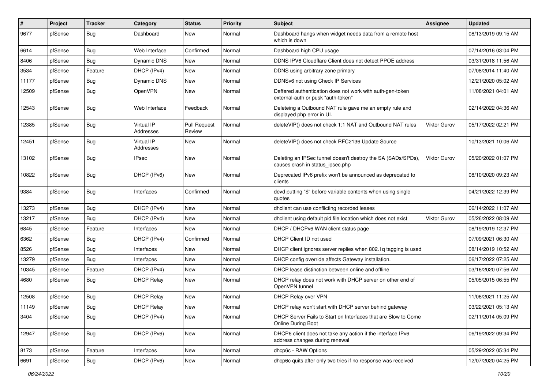| $\vert$ # | Project | <b>Tracker</b> | Category                | <b>Status</b>                 | <b>Priority</b> | Subject                                                                                          | <b>Assignee</b>     | <b>Updated</b>      |
|-----------|---------|----------------|-------------------------|-------------------------------|-----------------|--------------------------------------------------------------------------------------------------|---------------------|---------------------|
| 9677      | pfSense | Bug            | Dashboard               | New                           | Normal          | Dashboard hangs when widget needs data from a remote host<br>which is down                       |                     | 08/13/2019 09:15 AM |
| 6614      | pfSense | Bug            | Web Interface           | Confirmed                     | Normal          | Dashboard high CPU usage                                                                         |                     | 07/14/2016 03:04 PM |
| 8406      | pfSense | Bug            | <b>Dynamic DNS</b>      | <b>New</b>                    | Normal          | DDNS IPV6 Cloudflare Client does not detect PPOE address                                         |                     | 03/31/2018 11:56 AM |
| 3534      | pfSense | Feature        | DHCP (IPv4)             | New                           | Normal          | DDNS using arbitrary zone primary                                                                |                     | 07/08/2014 11:40 AM |
| 11177     | pfSense | Bug            | Dynamic DNS             | New                           | Normal          | DDNSv6 not using Check IP Services                                                               |                     | 12/21/2020 05:02 AM |
| 12509     | pfSense | Bug            | OpenVPN                 | <b>New</b>                    | Normal          | Deffered authentication does not work with auth-gen-token<br>external-auth or pusk "auth-token"  |                     | 11/08/2021 04:01 AM |
| 12543     | pfSense | Bug            | Web Interface           | Feedback                      | Normal          | Deleteing a Outbound NAT rule gave me an empty rule and<br>displayed php error in UI.            |                     | 02/14/2022 04:36 AM |
| 12385     | pfSense | Bug            | Virtual IP<br>Addresses | <b>Pull Request</b><br>Review | Normal          | deleteVIP() does not check 1:1 NAT and Outbound NAT rules                                        | Viktor Gurov        | 05/17/2022 02:21 PM |
| 12451     | pfSense | Bug            | Virtual IP<br>Addresses | <b>New</b>                    | Normal          | deleteVIP() does not check RFC2136 Update Source                                                 |                     | 10/13/2021 10:06 AM |
| 13102     | pfSense | <b>Bug</b>     | <b>IPsec</b>            | <b>New</b>                    | Normal          | Deleting an IPSec tunnel doesn't destroy the SA (SADs/SPDs),<br>causes crash in status_ipsec.php | <b>Viktor Gurov</b> | 05/20/2022 01:07 PM |
| 10822     | pfSense | Bug            | DHCP (IPv6)             | New                           | Normal          | Deprecated IPv6 prefix won't be announced as deprecated to<br>clients                            |                     | 08/10/2020 09:23 AM |
| 9384      | pfSense | Bug            | Interfaces              | Confirmed                     | Normal          | devd putting "\$" before variable contents when using single<br>quotes                           |                     | 04/21/2022 12:39 PM |
| 13273     | pfSense | Bug            | DHCP (IPv4)             | New                           | Normal          | dhclient can use conflicting recorded leases                                                     |                     | 06/14/2022 11:07 AM |
| 13217     | pfSense | <b>Bug</b>     | DHCP (IPv4)             | New                           | Normal          | dhclient using default pid file location which does not exist                                    | <b>Viktor Gurov</b> | 05/26/2022 08:09 AM |
| 6845      | pfSense | Feature        | Interfaces              | <b>New</b>                    | Normal          | DHCP / DHCPv6 WAN client status page                                                             |                     | 08/19/2019 12:37 PM |
| 6362      | pfSense | Bug            | DHCP (IPv4)             | Confirmed                     | Normal          | DHCP Client ID not used                                                                          |                     | 07/09/2021 06:30 AM |
| 8526      | pfSense | Bug            | Interfaces              | New                           | Normal          | DHCP client ignores server replies when 802.1q tagging is used                                   |                     | 08/14/2019 10:52 AM |
| 13279     | pfSense | Bug            | Interfaces              | New                           | Normal          | DHCP config override affects Gateway installation.                                               |                     | 06/17/2022 07:25 AM |
| 10345     | pfSense | Feature        | DHCP (IPv4)             | New                           | Normal          | DHCP lease distinction between online and offline                                                |                     | 03/16/2020 07:56 AM |
| 4680      | pfSense | Bug            | <b>DHCP Relay</b>       | New                           | Normal          | DHCP relay does not work with DHCP server on other end of<br>OpenVPN tunnel                      |                     | 05/05/2015 06:55 PM |
| 12508     | pfSense | <b>Bug</b>     | <b>DHCP Relay</b>       | New                           | Normal          | DHCP Relay over VPN                                                                              |                     | 11/06/2021 11:25 AM |
| 11149     | pfSense | Bug            | <b>DHCP Relay</b>       | <b>New</b>                    | Normal          | DHCP relay won't start with DHCP server behind gateway                                           |                     | 03/22/2021 05:13 AM |
| 3404      | pfSense | Bug            | DHCP (IPv4)             | <b>New</b>                    | Normal          | DHCP Server Fails to Start on Interfaces that are Slow to Come<br><b>Online During Boot</b>      |                     | 02/11/2014 05:09 PM |
| 12947     | pfSense | <b>Bug</b>     | DHCP (IPv6)             | <b>New</b>                    | Normal          | DHCP6 client does not take any action if the interface IPv6<br>address changes during renewal    |                     | 06/19/2022 09:34 PM |
| 8173      | pfSense | Feature        | Interfaces              | New                           | Normal          | dhcp6c - RAW Options                                                                             |                     | 05/29/2022 05:34 PM |
| 6691      | pfSense | Bug            | DHCP (IPv6)             | New                           | Normal          | dhcp6c quits after only two tries if no response was received                                    |                     | 12/07/2020 04:25 PM |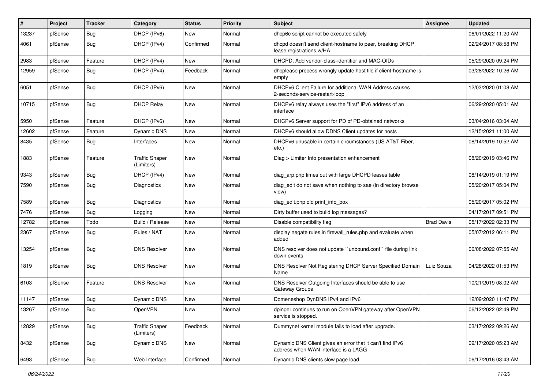| #     | Project | <b>Tracker</b> | Category                            | <b>Status</b> | <b>Priority</b> | <b>Subject</b>                                                                                    | Assignee          | <b>Updated</b>      |
|-------|---------|----------------|-------------------------------------|---------------|-----------------|---------------------------------------------------------------------------------------------------|-------------------|---------------------|
| 13237 | pfSense | Bug            | DHCP (IPv6)                         | New           | Normal          | dhcp6c script cannot be executed safely                                                           |                   | 06/01/2022 11:20 AM |
| 4061  | pfSense | <b>Bug</b>     | DHCP (IPv4)                         | Confirmed     | Normal          | dhcpd doesn't send client-hostname to peer, breaking DHCP<br>lease registrations w/HA             |                   | 02/24/2017 08:58 PM |
| 2983  | pfSense | Feature        | DHCP (IPv4)                         | New           | Normal          | DHCPD: Add vendor-class-identifier and MAC-OIDs                                                   |                   | 05/29/2020 09:24 PM |
| 12959 | pfSense | Bug            | DHCP (IPv4)                         | Feedback      | Normal          | dhcplease process wrongly update host file if client-hostname is<br>empty                         |                   | 03/28/2022 10:26 AM |
| 6051  | pfSense | <b>Bug</b>     | DHCP (IPv6)                         | New           | Normal          | DHCPv6 Client Failure for additional WAN Address causes<br>2-seconds-service-restart-loop         |                   | 12/03/2020 01:08 AM |
| 10715 | pfSense | <b>Bug</b>     | <b>DHCP Relay</b>                   | New           | Normal          | DHCPv6 relay always uses the "first" IPv6 address of an<br>interface                              |                   | 06/29/2020 05:01 AM |
| 5950  | pfSense | Feature        | DHCP (IPv6)                         | New           | Normal          | DHCPv6 Server support for PD of PD-obtained networks                                              |                   | 03/04/2016 03:04 AM |
| 12602 | pfSense | Feature        | Dynamic DNS                         | <b>New</b>    | Normal          | DHCPv6 should allow DDNS Client updates for hosts                                                 |                   | 12/15/2021 11:00 AM |
| 8435  | pfSense | <b>Bug</b>     | Interfaces                          | New           | Normal          | DHCPv6 unusable in certain circumstances (US AT&T Fiber,<br>etc.)                                 |                   | 08/14/2019 10:52 AM |
| 1883  | pfSense | Feature        | <b>Traffic Shaper</b><br>(Limiters) | New           | Normal          | Diag > Limiter Info presentation enhancement                                                      |                   | 08/20/2019 03:46 PM |
| 9343  | pfSense | <b>Bug</b>     | DHCP (IPv4)                         | New           | Normal          | diag arp.php times out with large DHCPD leases table                                              |                   | 08/14/2019 01:19 PM |
| 7590  | pfSense | Bug            | Diagnostics                         | New           | Normal          | diag_edit do not save when nothing to sae (in directory browse<br>view)                           |                   | 05/20/2017 05:04 PM |
| 7589  | pfSense | <b>Bug</b>     | Diagnostics                         | New           | Normal          | diag_edit.php old print_info_box                                                                  |                   | 05/20/2017 05:02 PM |
| 7476  | pfSense | <b>Bug</b>     | Logging                             | New           | Normal          | Dirty buffer used to build log messages?                                                          |                   | 04/17/2017 09:51 PM |
| 12782 | pfSense | Todo           | Build / Release                     | New           | Normal          | Disable compatibility flag                                                                        | <b>Brad Davis</b> | 05/17/2022 02:33 PM |
| 2367  | pfSense | <b>Bug</b>     | Rules / NAT                         | New           | Normal          | display negate rules in firewall_rules.php and evaluate when<br>added                             |                   | 05/07/2012 06:11 PM |
| 13254 | pfSense | Bug            | <b>DNS Resolver</b>                 | New           | Normal          | DNS resolver does not update "unbound.conf" file during link<br>down events                       |                   | 06/08/2022 07:55 AM |
| 1819  | pfSense | Bug            | <b>DNS Resolver</b>                 | <b>New</b>    | Normal          | DNS Resolver Not Registering DHCP Server Specified Domain<br>Name                                 | Luiz Souza        | 04/28/2022 01:53 PM |
| 6103  | pfSense | Feature        | <b>DNS Resolver</b>                 | New           | Normal          | DNS Resolver Outgoing Interfaces should be able to use<br>Gateway Groups                          |                   | 10/21/2019 08:02 AM |
| 11147 | pfSense | <b>Bug</b>     | Dynamic DNS                         | New           | Normal          | Domeneshop DynDNS IPv4 and IPv6                                                                   |                   | 12/09/2020 11:47 PM |
| 13267 | pfSense | <b>Bug</b>     | OpenVPN                             | New           | Normal          | dpinger continues to run on OpenVPN gateway after OpenVPN<br>service is stopped.                  |                   | 06/12/2022 02:49 PM |
| 12829 | pfSense | Bug            | <b>Traffic Shaper</b><br>(Limiters) | Feedback      | Normal          | Dummynet kernel module fails to load after upgrade.                                               |                   | 03/17/2022 09:26 AM |
| 8432  | pfSense | Bug            | Dynamic DNS                         | New           | Normal          | Dynamic DNS Client gives an error that it can't find IPv6<br>address when WAN interface is a LAGG |                   | 09/17/2020 05:23 AM |
| 6493  | pfSense | <b>Bug</b>     | Web Interface                       | Confirmed     | Normal          | Dynamic DNS clients slow page load                                                                |                   | 06/17/2016 03:43 AM |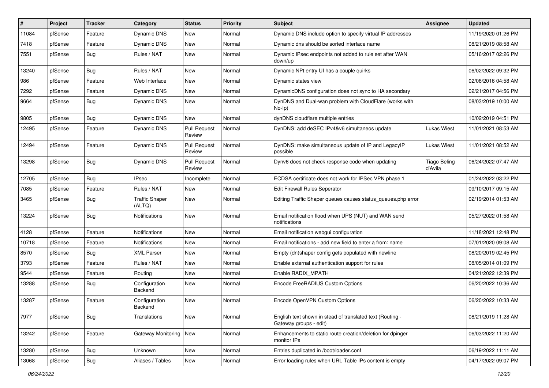| #     | Project | <b>Tracker</b> | Category                        | <b>Status</b>                 | <b>Priority</b> | Subject                                                                             | Assignee                       | <b>Updated</b>      |
|-------|---------|----------------|---------------------------------|-------------------------------|-----------------|-------------------------------------------------------------------------------------|--------------------------------|---------------------|
| 11084 | pfSense | Feature        | Dynamic DNS                     | New                           | Normal          | Dynamic DNS include option to specify virtual IP addresses                          |                                | 11/19/2020 01:26 PM |
| 7418  | pfSense | Feature        | Dynamic DNS                     | New                           | Normal          | Dynamic dns should be sorted interface name                                         |                                | 08/21/2019 08:58 AM |
| 7551  | pfSense | Bug            | Rules / NAT                     | <b>New</b>                    | Normal          | Dynamic IPsec endpoints not added to rule set after WAN<br>down/up                  |                                | 05/16/2017 02:26 PM |
| 13240 | pfSense | <b>Bug</b>     | Rules / NAT                     | <b>New</b>                    | Normal          | Dynamic NPt entry UI has a couple quirks                                            |                                | 06/02/2022 09:32 PM |
| 986   | pfSense | Feature        | Web Interface                   | New                           | Normal          | Dynamic states view                                                                 |                                | 02/06/2016 04:58 AM |
| 7292  | pfSense | Feature        | Dynamic DNS                     | New                           | Normal          | DynamicDNS configuration does not sync to HA secondary                              |                                | 02/21/2017 04:56 PM |
| 9664  | pfSense | Bug            | Dynamic DNS                     | <b>New</b>                    | Normal          | DynDNS and Dual-wan problem with CloudFlare (works with<br>No-lp)                   |                                | 08/03/2019 10:00 AM |
| 9805  | pfSense | Bug            | Dynamic DNS                     | New                           | Normal          | dynDNS cloudflare multiple entries                                                  |                                | 10/02/2019 04:51 PM |
| 12495 | pfSense | Feature        | Dynamic DNS                     | <b>Pull Request</b><br>Review | Normal          | DynDNS: add deSEC IPv4&v6 simultaneos update                                        | Lukas Wiest                    | 11/01/2021 08:53 AM |
| 12494 | pfSense | Feature        | Dynamic DNS                     | <b>Pull Request</b><br>Review | Normal          | DynDNS: make simultaneous update of IP and LegacyIP<br>possible                     | Lukas Wiest                    | 11/01/2021 08:52 AM |
| 13298 | pfSense | Bug            | <b>Dynamic DNS</b>              | <b>Pull Request</b><br>Review | Normal          | Dynv6 does not check response code when updating                                    | <b>Tiago Beling</b><br>d'Avila | 06/24/2022 07:47 AM |
| 12705 | pfSense | Bug            | <b>IPsec</b>                    | Incomplete                    | Normal          | ECDSA certificate does not work for IPSec VPN phase 1                               |                                | 01/24/2022 03:22 PM |
| 7085  | pfSense | Feature        | Rules / NAT                     | New                           | Normal          | Edit Firewall Rules Seperator                                                       |                                | 09/10/2017 09:15 AM |
| 3465  | pfSense | <b>Bug</b>     | <b>Traffic Shaper</b><br>(ALTQ) | <b>New</b>                    | Normal          | Editing Traffic Shaper queues causes status_queues.php error                        |                                | 02/19/2014 01:53 AM |
| 13224 | pfSense | Bug            | <b>Notifications</b>            | <b>New</b>                    | Normal          | Email notification flood when UPS (NUT) and WAN send<br>notifications               |                                | 05/27/2022 01:58 AM |
| 4128  | pfSense | Feature        | Notifications                   | <b>New</b>                    | Normal          | Email notification webgui configuration                                             |                                | 11/18/2021 12:48 PM |
| 10718 | pfSense | Feature        | <b>Notifications</b>            | <b>New</b>                    | Normal          | Email notifications - add new field to enter a from: name                           |                                | 07/01/2020 09:08 AM |
| 8570  | pfSense | <b>Bug</b>     | <b>XML Parser</b>               | New                           | Normal          | Empty (dn)shaper config gets populated with newline                                 |                                | 08/20/2019 02:45 PM |
| 3793  | pfSense | Feature        | Rules / NAT                     | New                           | Normal          | Enable external authentication support for rules                                    |                                | 08/05/2014 01:09 PM |
| 9544  | pfSense | Feature        | Routing                         | <b>New</b>                    | Normal          | Enable RADIX_MPATH                                                                  |                                | 04/21/2022 12:39 PM |
| 13288 | pfSense | <b>Bug</b>     | Configuration<br>Backend        | New                           | Normal          | Encode FreeRADIUS Custom Options                                                    |                                | 06/20/2022 10:36 AM |
| 13287 | pfSense | Feature        | Configuration<br>Backend        | <b>New</b>                    | Normal          | Encode OpenVPN Custom Options                                                       |                                | 06/20/2022 10:33 AM |
| 7977  | pfSense | Bug            | Translations                    | New                           | Normal          | English text shown in stead of translated text (Routing -<br>Gateway groups - edit) |                                | 08/21/2019 11:28 AM |
| 13242 | pfSense | Feature        | <b>Gateway Monitoring</b>       | New                           | Normal          | Enhancements to static route creation/deletion for dpinger<br>monitor IPs           |                                | 06/03/2022 11:20 AM |
| 13280 | pfSense | Bug            | Unknown                         | <b>New</b>                    | Normal          | Entries duplicated in /boot/loader.conf                                             |                                | 06/19/2022 11:11 AM |
| 13068 | pfSense | <b>Bug</b>     | Aliases / Tables                | New                           | Normal          | Error loading rules when URL Table IPs content is empty                             |                                | 04/17/2022 09:07 PM |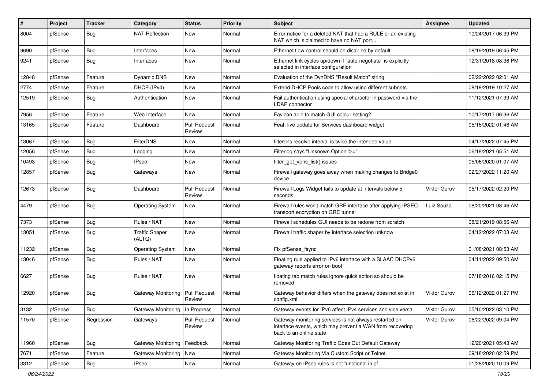| #     | Project | <b>Tracker</b> | Category                         | <b>Status</b>                 | <b>Priority</b> | <b>Subject</b>                                                                                                                                 | <b>Assignee</b>     | <b>Updated</b>      |
|-------|---------|----------------|----------------------------------|-------------------------------|-----------------|------------------------------------------------------------------------------------------------------------------------------------------------|---------------------|---------------------|
| 8004  | pfSense | <b>Bug</b>     | <b>NAT Reflection</b>            | New                           | Normal          | Error notice for a deleted NAT that had a RULE or an existing<br>NAT which is claimed to have no NAT port                                      |                     | 10/24/2017 06:39 PM |
| 9690  | pfSense | Bug            | Interfaces                       | <b>New</b>                    | Normal          | Ethernet flow control should be disabled by default                                                                                            |                     | 08/19/2019 06:45 PM |
| 9241  | pfSense | Bug            | Interfaces                       | New                           | Normal          | Ethernet link cycles up/down if "auto-negotiate" is explicitly<br>selected in interface configuration                                          |                     | 12/31/2018 08:36 PM |
| 12848 | pfSense | Feature        | Dynamic DNS                      | New                           | Normal          | Evaluation of the DynDNS "Result Match" string                                                                                                 |                     | 02/22/2022 02:01 AM |
| 2774  | pfSense | Feature        | DHCP (IPv4)                      | New                           | Normal          | Extend DHCP Pools code to allow using different subnets                                                                                        |                     | 08/19/2019 10:27 AM |
| 12519 | pfSense | <b>Bug</b>     | Authentication                   | <b>New</b>                    | Normal          | Fail authentication using special character in password via the<br><b>LDAP</b> connector                                                       |                     | 11/12/2021 07:39 AM |
| 7956  | pfSense | Feature        | Web Interface                    | <b>New</b>                    | Normal          | Favicon able to match GUI colour setting?                                                                                                      |                     | 10/17/2017 06:36 AM |
| 13165 | pfSense | Feature        | Dashboard                        | <b>Pull Request</b><br>Review | Normal          | Feat: live update for Services dashboard widget                                                                                                |                     | 05/15/2022 01:48 AM |
| 13067 | pfSense | <b>Bug</b>     | <b>FilterDNS</b>                 | <b>New</b>                    | Normal          | filterdns resolve interval is twice the intended value                                                                                         |                     | 04/17/2022 07:45 PM |
| 12056 | pfSense | Bug            | Logging                          | New                           | Normal          | Filterlog says "Unknown Option %u"                                                                                                             |                     | 06/18/2021 05:51 AM |
| 10493 | pfSense | <b>Bug</b>     | <b>IPsec</b>                     | New                           | Normal          | filter_get_vpns_list() issues                                                                                                                  |                     | 05/06/2020 01:07 AM |
| 12857 | pfSense | <b>Bug</b>     | Gateways                         | New                           | Normal          | Firewall gateway goes away when making changes to Bridge0<br>device                                                                            |                     | 02/27/2022 11:20 AM |
| 12673 | pfSense | <b>Bug</b>     | Dashboard                        | <b>Pull Request</b><br>Review | Normal          | Firewall Logs Widget fails to update at intervals below 5<br>seconds.                                                                          | <b>Viktor Gurov</b> | 05/17/2022 02:20 PM |
| 4479  | pfSense | <b>Bug</b>     | <b>Operating System</b>          | <b>New</b>                    | Normal          | Firewall rules won't match GRE interface after applying IPSEC<br>transport encryption on GRE tunnel                                            | Luiz Souza          | 08/20/2021 08:46 AM |
| 7373  | pfSense | <b>Bug</b>     | Rules / NAT                      | <b>New</b>                    | Normal          | Firewall schedules GUI needs to be redone from scratch                                                                                         |                     | 08/21/2019 08:56 AM |
| 13051 | pfSense | <b>Bug</b>     | <b>Traffic Shaper</b><br>(ALTQ)  | <b>New</b>                    | Normal          | Firewall traffic shaper by interface selection unknow                                                                                          |                     | 04/12/2022 07:03 AM |
| 11232 | pfSense | <b>Bug</b>     | <b>Operating System</b>          | <b>New</b>                    | Normal          | Fix pfSense fsync                                                                                                                              |                     | 01/08/2021 08:53 AM |
| 13046 | pfSense | <b>Bug</b>     | Rules / NAT                      | New                           | Normal          | Floating rule applied to IPv6 interface with a SLAAC DHCPv6<br>gateway reports error on boot                                                   |                     | 04/11/2022 09:50 AM |
| 6627  | pfSense | Bug            | Rules / NAT                      | <b>New</b>                    | Normal          | floating tab match rules ignore quick action so should be<br>removed                                                                           |                     | 07/18/2016 02:15 PM |
| 12920 | pfSense | <b>Bug</b>     | Gateway Monitoring               | <b>Pull Request</b><br>Review | Normal          | Gateway behavior differs when the gateway does not exist in<br>config.xml                                                                      | Viktor Gurov        | 06/12/2022 01:27 PM |
| 3132  | pfSense | Bug            | Gateway Monitoring   In Progress |                               | Normal          | Gateway events for IPv6 affect IPv4 services and vice versa                                                                                    | Viktor Gurov        | 05/10/2022 03:10 PM |
| 11570 | pfSense | Regression     | Gateways                         | <b>Pull Request</b><br>Review | Normal          | Gateway monitoring services is not always restarted on<br>interface events, which may prevent a WAN from recovering<br>back to an online state | Viktor Gurov        | 06/22/2022 09:04 PM |
| 11960 | pfSense | Bug            | Gateway Monitoring               | Feedback                      | Normal          | Gateway Monitoring Traffic Goes Out Default Gateway                                                                                            |                     | 12/20/2021 05:43 AM |
| 7671  | pfSense | Feature        | Gateway Monitoring               | New                           | Normal          | Gateway Monitoring Via Custom Script or Telnet.                                                                                                |                     | 09/18/2020 02:59 PM |
| 3312  | pfSense | <b>Bug</b>     | <b>IPsec</b>                     | New                           | Normal          | Gateway on IPsec rules is not functional in pf                                                                                                 |                     | 01/28/2020 10:09 PM |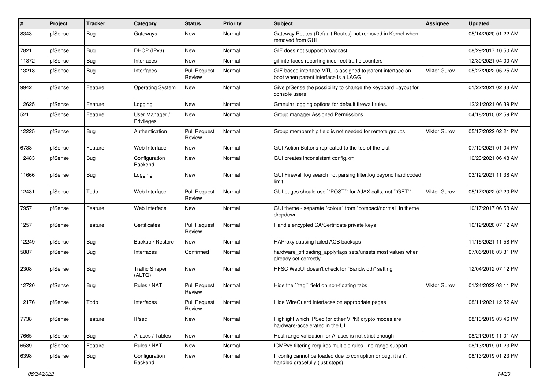| ∦     | Project | <b>Tracker</b> | Category                        | <b>Status</b>                 | <b>Priority</b> | <b>Subject</b>                                                                                     | <b>Assignee</b>     | <b>Updated</b>      |
|-------|---------|----------------|---------------------------------|-------------------------------|-----------------|----------------------------------------------------------------------------------------------------|---------------------|---------------------|
| 8343  | pfSense | Bug            | Gateways                        | New                           | Normal          | Gateway Routes (Default Routes) not removed in Kernel when<br>removed from GUI                     |                     | 05/14/2020 01:22 AM |
| 7821  | pfSense | Bug            | DHCP (IPv6)                     | New                           | Normal          | GIF does not support broadcast                                                                     |                     | 08/29/2017 10:50 AM |
| 11872 | pfSense | <b>Bug</b>     | Interfaces                      | <b>New</b>                    | Normal          | gif interfaces reporting incorrect traffic counters                                                |                     | 12/30/2021 04:00 AM |
| 13218 | pfSense | Bug            | Interfaces                      | <b>Pull Request</b><br>Review | Normal          | GIF-based interface MTU is assigned to parent interface on<br>boot when parent interface is a LAGG | <b>Viktor Gurov</b> | 05/27/2022 05:25 AM |
| 9942  | pfSense | Feature        | <b>Operating System</b>         | New                           | Normal          | Give pfSense the possibility to change the keyboard Layout for<br>console users                    |                     | 01/22/2021 02:33 AM |
| 12625 | pfSense | Feature        | Logging                         | <b>New</b>                    | Normal          | Granular logging options for default firewall rules.                                               |                     | 12/21/2021 06:39 PM |
| 521   | pfSense | Feature        | User Manager /<br>Privileges    | <b>New</b>                    | Normal          | Group manager Assigned Permissions                                                                 |                     | 04/18/2010 02:59 PM |
| 12225 | pfSense | Bug            | Authentication                  | <b>Pull Request</b><br>Review | Normal          | Group membership field is not needed for remote groups                                             | <b>Viktor Gurov</b> | 05/17/2022 02:21 PM |
| 6738  | pfSense | Feature        | Web Interface                   | <b>New</b>                    | Normal          | GUI Action Buttons replicated to the top of the List                                               |                     | 07/10/2021 01:04 PM |
| 12483 | pfSense | <b>Bug</b>     | Configuration<br>Backend        | New                           | Normal          | GUI creates inconsistent config.xml                                                                |                     | 10/23/2021 06:48 AM |
| 11666 | pfSense | Bug            | Logging                         | <b>New</b>                    | Normal          | GUI Firewall log search not parsing filter.log beyond hard coded<br>limit                          |                     | 03/12/2021 11:38 AM |
| 12431 | pfSense | Todo           | Web Interface                   | <b>Pull Request</b><br>Review | Normal          | GUI pages should use "POST" for AJAX calls, not "GET"                                              | Viktor Gurov        | 05/17/2022 02:20 PM |
| 7957  | pfSense | Feature        | Web Interface                   | <b>New</b>                    | Normal          | GUI theme - separate "colour" from "compact/normal" in theme<br>dropdown                           |                     | 10/17/2017 06:58 AM |
| 1257  | pfSense | Feature        | Certificates                    | <b>Pull Request</b><br>Review | Normal          | Handle encypted CA/Certificate private keys                                                        |                     | 10/12/2020 07:12 AM |
| 12249 | pfSense | <b>Bug</b>     | Backup / Restore                | New                           | Normal          | HAProxy causing failed ACB backups                                                                 |                     | 11/15/2021 11:58 PM |
| 5887  | pfSense | Bug            | Interfaces                      | Confirmed                     | Normal          | hardware_offloading_applyflags sets/unsets most values when<br>already set correctly               |                     | 07/06/2016 03:31 PM |
| 2308  | pfSense | Bug            | <b>Traffic Shaper</b><br>(ALTQ) | <b>New</b>                    | Normal          | HFSC WebUI doesn't check for "Bandwidth" setting                                                   |                     | 12/04/2012 07:12 PM |
| 12720 | pfSense | Bug            | Rules / NAT                     | <b>Pull Request</b><br>Review | Normal          | Hide the "tag" field on non-floating tabs                                                          | Viktor Gurov        | 01/24/2022 03:11 PM |
| 12176 | pfSense | Todo           | Interfaces                      | <b>Pull Request</b><br>Review | Normal          | Hide WireGuard interfaces on appropriate pages                                                     |                     | 08/11/2021 12:52 AM |
| 7738  | pfSense | Feature        | <b>IPsec</b>                    | New                           | Normal          | Highlight which IPSec (or other VPN) crypto modes are<br>hardware-accelerated in the UI            |                     | 08/13/2019 03:46 PM |
| 7665  | pfSense | Bug            | Aliases / Tables                | New                           | Normal          | Host range validation for Aliases is not strict enough                                             |                     | 08/21/2019 11:01 AM |
| 6539  | pfSense | Feature        | Rules / NAT                     | New                           | Normal          | ICMPv6 filtering requires multiple rules - no range support                                        |                     | 08/13/2019 01:23 PM |
| 6398  | pfSense | <b>Bug</b>     | Configuration<br>Backend        | New                           | Normal          | If config cannot be loaded due to corruption or bug, it isn't<br>handled gracefully (just stops)   |                     | 08/13/2019 01:23 PM |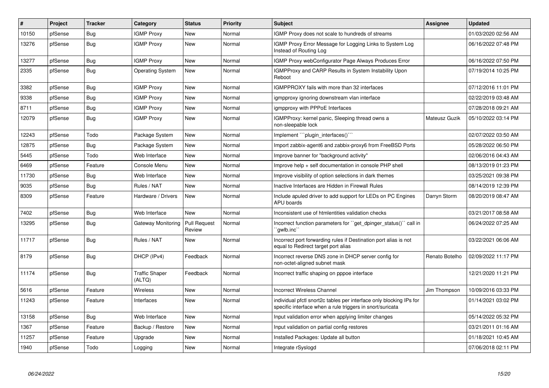| ∦     | <b>Project</b> | <b>Tracker</b> | Category                        | <b>Status</b>          | Priority | <b>Subject</b>                                                                                                                   | <b>Assignee</b> | <b>Updated</b>      |
|-------|----------------|----------------|---------------------------------|------------------------|----------|----------------------------------------------------------------------------------------------------------------------------------|-----------------|---------------------|
| 10150 | pfSense        | <b>Bug</b>     | <b>IGMP Proxy</b>               | New                    | Normal   | IGMP Proxy does not scale to hundreds of streams                                                                                 |                 | 01/03/2020 02:56 AM |
| 13276 | pfSense        | Bug            | <b>IGMP Proxy</b>               | New                    | Normal   | IGMP Proxy Error Message for Logging Links to System Log<br>Instead of Routing Log                                               |                 | 06/16/2022 07:48 PM |
| 13277 | pfSense        | Bug            | <b>IGMP Proxy</b>               | <b>New</b>             | Normal   | <b>IGMP Proxy webConfigurator Page Always Produces Error</b>                                                                     |                 | 06/16/2022 07:50 PM |
| 2335  | pfSense        | Bug            | <b>Operating System</b>         | New                    | Normal   | <b>IGMPProxy and CARP Results in System Instability Upon</b><br>Reboot                                                           |                 | 07/19/2014 10:25 PM |
| 3382  | pfSense        | Bug            | <b>IGMP Proxy</b>               | <b>New</b>             | Normal   | IGMPPROXY fails with more than 32 interfaces                                                                                     |                 | 07/12/2016 11:01 PM |
| 9338  | pfSense        | <b>Bug</b>     | <b>IGMP Proxy</b>               | <b>New</b>             | Normal   | igmpproxy ignoring downstream vlan interface                                                                                     |                 | 02/22/2019 03:48 AM |
| 8711  | pfSense        | Bug            | <b>IGMP Proxy</b>               | New                    | Normal   | igmpproxy with PPPoE Interfaces                                                                                                  |                 | 07/28/2018 09:21 AM |
| 12079 | pfSense        | <b>Bug</b>     | <b>IGMP Proxy</b>               | New                    | Normal   | IGMPProxy: kernel panic, Sleeping thread owns a<br>non-sleepable lock                                                            | Mateusz Guzik   | 05/10/2022 03:14 PM |
| 12243 | pfSense        | Todo           | Package System                  | New                    | Normal   | Implement ```plugin interfaces()``                                                                                               |                 | 02/07/2022 03:50 AM |
| 12875 | pfSense        | <b>Bug</b>     | Package System                  | <b>New</b>             | Normal   | Import zabbix-agent6 and zabbix-proxy6 from FreeBSD Ports                                                                        |                 | 05/28/2022 06:50 PM |
| 5445  | pfSense        | Todo           | Web Interface                   | New                    | Normal   | Improve banner for "background activity"                                                                                         |                 | 02/06/2016 04:43 AM |
| 6469  | pfSense        | Feature        | Console Menu                    | <b>New</b>             | Normal   | Improve help + self documentation in console PHP shell                                                                           |                 | 08/13/2019 01:23 PM |
| 11730 | pfSense        | <b>Bug</b>     | Web Interface                   | New                    | Normal   | Improve visibility of option selections in dark themes                                                                           |                 | 03/25/2021 09:38 PM |
| 9035  | pfSense        | Bug            | Rules / NAT                     | <b>New</b>             | Normal   | Inactive Interfaces are Hidden in Firewall Rules                                                                                 |                 | 08/14/2019 12:39 PM |
| 8309  | pfSense        | Feature        | Hardware / Drivers              | <b>New</b>             | Normal   | Include apuled driver to add support for LEDs on PC Engines<br>APU boards                                                        | Darryn Storm    | 08/20/2019 08:47 AM |
| 7402  | pfSense        | <b>Bug</b>     | Web Interface                   | <b>New</b>             | Normal   | Inconsistent use of htmlentities validation checks                                                                               |                 | 03/21/2017 08:58 AM |
| 13295 | pfSense        | Bug            | Gateway Monitoring              | Pull Request<br>Review | Normal   | Incorrect function parameters for "get_dpinger_status()" call in<br>`qwlb.inc``                                                  |                 | 06/24/2022 07:25 AM |
| 11717 | pfSense        | Bug            | Rules / NAT                     | <b>New</b>             | Normal   | Incorrect port forwarding rules if Destination port alias is not<br>equal to Redirect target port alias                          |                 | 03/22/2021 06:06 AM |
| 8179  | pfSense        | <b>Bug</b>     | DHCP (IPv4)                     | Feedback               | Normal   | Incorrect reverse DNS zone in DHCP server config for<br>non-octet-aligned subnet mask                                            | Renato Botelho  | 02/09/2022 11:17 PM |
| 11174 | pfSense        | <b>Bug</b>     | <b>Traffic Shaper</b><br>(ALTQ) | Feedback               | Normal   | Incorrect traffic shaping on pppoe interface                                                                                     |                 | 12/21/2020 11:21 PM |
| 5616  | pfSense        | Feature        | <b>Wireless</b>                 | New                    | Normal   | <b>Incorrect Wireless Channel</b>                                                                                                | Jim Thompson    | 10/09/2016 03:33 PM |
| 11243 | pfSense        | Feature        | Interfaces                      | New                    | Normal   | individual pfctl snort2c tables per interface only blocking IPs for<br>specific interface when a rule triggers in snort/suricata |                 | 01/14/2021 03:02 PM |
| 13158 | pfSense        | <b>Bug</b>     | Web Interface                   | <b>New</b>             | Normal   | Input validation error when applying limiter changes                                                                             |                 | 05/14/2022 05:32 PM |
| 1367  | pfSense        | Feature        | Backup / Restore                | New                    | Normal   | Input validation on partial config restores                                                                                      |                 | 03/21/2011 01:16 AM |
| 11257 | pfSense        | Feature        | Upgrade                         | <b>New</b>             | Normal   | Installed Packages: Update all button                                                                                            |                 | 01/18/2021 10:45 AM |
| 1940  | pfSense        | Todo           | Logging                         | <b>New</b>             | Normal   | Integrate rSyslogd                                                                                                               |                 | 07/06/2018 02:11 PM |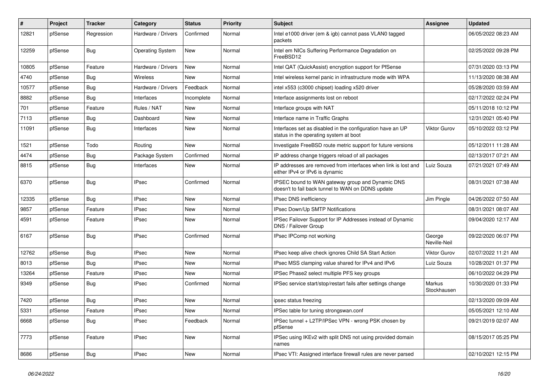| ∦     | <b>Project</b> | <b>Tracker</b> | Category                | <b>Status</b> | <b>Priority</b> | <b>Subject</b>                                                                                        | <b>Assignee</b>        | <b>Updated</b>      |
|-------|----------------|----------------|-------------------------|---------------|-----------------|-------------------------------------------------------------------------------------------------------|------------------------|---------------------|
| 12821 | pfSense        | Regression     | Hardware / Drivers      | Confirmed     | Normal          | Intel e1000 driver (em & igb) cannot pass VLAN0 tagged<br>packets                                     |                        | 06/05/2022 08:23 AM |
| 12259 | pfSense        | Bug            | <b>Operating System</b> | New           | Normal          | Intel em NICs Suffering Performance Degradation on<br>FreeBSD12                                       |                        | 02/25/2022 09:28 PM |
| 10805 | pfSense        | Feature        | Hardware / Drivers      | <b>New</b>    | Normal          | Intel QAT (QuickAssist) encryption support for PfSense                                                |                        | 07/31/2020 03:13 PM |
| 4740  | pfSense        | Bug            | <b>Wireless</b>         | New           | Normal          | Intel wireless kernel panic in infrastructure mode with WPA                                           |                        | 11/13/2020 08:38 AM |
| 10577 | pfSense        | <b>Bug</b>     | Hardware / Drivers      | Feedback      | Normal          | intel x553 (c3000 chipset) loading x520 driver                                                        |                        | 05/28/2020 03:59 AM |
| 8882  | pfSense        | <b>Bug</b>     | Interfaces              | Incomplete    | Normal          | Interface assignments lost on reboot                                                                  |                        | 02/17/2022 02:24 PM |
| 701   | pfSense        | Feature        | Rules / NAT             | New           | Normal          | Interface groups with NAT                                                                             |                        | 05/11/2018 10:12 PM |
| 7113  | pfSense        | <b>Bug</b>     | Dashboard               | New           | Normal          | Interface name in Traffic Graphs                                                                      |                        | 12/31/2021 05:40 PM |
| 11091 | pfSense        | Bug            | Interfaces              | New           | Normal          | Interfaces set as disabled in the configuration have an UP<br>status in the operating system at boot  | Viktor Gurov           | 05/10/2022 03:12 PM |
| 1521  | pfSense        | Todo           | Routing                 | <b>New</b>    | Normal          | Investigate FreeBSD route metric support for future versions                                          |                        | 05/12/2011 11:28 AM |
| 4474  | pfSense        | <b>Bug</b>     | Package System          | Confirmed     | Normal          | IP address change triggers reload of all packages                                                     |                        | 02/13/2017 07:21 AM |
| 8815  | pfSense        | <b>Bug</b>     | Interfaces              | New           | Normal          | IP addresses are removed from interfaces when link is lost and<br>either IPv4 or IPv6 is dynamic      | Luiz Souza             | 07/21/2021 07:49 AM |
| 6370  | pfSense        | <b>Bug</b>     | IPsec                   | Confirmed     | Normal          | IPSEC bound to WAN gateway group and Dynamic DNS<br>doesn't to fail back tunnel to WAN on DDNS update |                        | 08/31/2021 07:38 AM |
| 12335 | pfSense        | <b>Bug</b>     | <b>IPsec</b>            | New           | Normal          | <b>IPsec DNS inefficiency</b>                                                                         | Jim Pingle             | 04/26/2022 07:50 AM |
| 9857  | pfSense        | Feature        | <b>IPsec</b>            | New           | Normal          | IPsec Down/Up SMTP Notifications                                                                      |                        | 08/31/2021 08:07 AM |
| 4591  | pfSense        | Feature        | IPsec                   | New           | Normal          | IPSec Failover Support for IP Addresses instead of Dynamic<br>DNS / Failover Group                    |                        | 09/04/2020 12:17 AM |
| 6167  | pfSense        | <b>Bug</b>     | IPsec                   | Confirmed     | Normal          | IPsec IPComp not working                                                                              | George<br>Neville-Neil | 09/22/2020 06:07 PM |
| 12762 | pfSense        | <b>Bug</b>     | <b>IPsec</b>            | New           | Normal          | IPsec keep alive check ignores Child SA Start Action                                                  | Viktor Gurov           | 02/07/2022 11:21 AM |
| 8013  | pfSense        | <b>Bug</b>     | IPsec                   | New           | Normal          | IPsec MSS clamping value shared for IPv4 and IPv6                                                     | Luiz Souza             | 10/28/2021 01:37 PM |
| 13264 | pfSense        | Feature        | IPsec                   | New           | Normal          | IPSec Phase2 select multiple PFS key groups                                                           |                        | 06/10/2022 04:29 PM |
| 9349  | pfSense        | <b>Bug</b>     | <b>IPsec</b>            | Confirmed     | Normal          | IPSec service start/stop/restart fails after settings change                                          | Markus<br>Stockhausen  | 10/30/2020 01:33 PM |
| 7420  | pfSense        | <b>Bug</b>     | IPsec                   | New           | Normal          | ipsec status freezing                                                                                 |                        | 02/13/2020 09:09 AM |
| 5331  | pfSense        | Feature        | <b>IPsec</b>            | New           | Normal          | IPSec table for tuning strongswan.conf                                                                |                        | 05/05/2021 12:10 AM |
| 6668  | pfSense        | Bug            | <b>IPsec</b>            | Feedback      | Normal          | IPSec tunnel + L2TP/IPSec VPN - wrong PSK chosen by<br>pfSense                                        |                        | 09/21/2019 02:07 AM |
| 7773  | pfSense        | Feature        | <b>IPsec</b>            | New           | Normal          | IPSec using IKEv2 with split DNS not using provided domain<br>names                                   |                        | 08/15/2017 05:25 PM |
| 8686  | pfSense        | <b>Bug</b>     | <b>IPsec</b>            | New           | Normal          | IPsec VTI: Assigned interface firewall rules are never parsed                                         |                        | 02/10/2021 12:15 PM |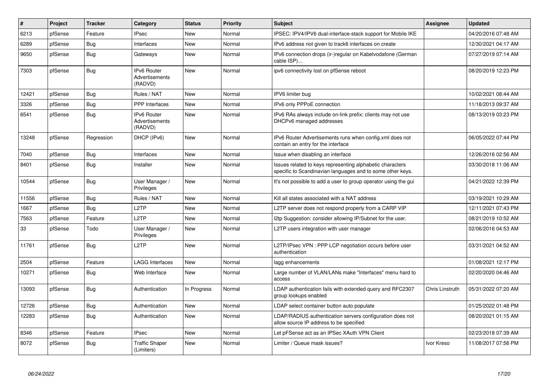| ∦     | Project | <b>Tracker</b> | Category                                        | <b>Status</b> | Priority | <b>Subject</b>                                                                                                          | <b>Assignee</b>        | <b>Updated</b>      |
|-------|---------|----------------|-------------------------------------------------|---------------|----------|-------------------------------------------------------------------------------------------------------------------------|------------------------|---------------------|
| 6213  | pfSense | Feature        | <b>IPsec</b>                                    | New           | Normal   | IPSEC: IPV4/IPV6 dual-interface-stack support for Mobile IKE                                                            |                        | 04/20/2016 07:48 AM |
| 6289  | pfSense | <b>Bug</b>     | Interfaces                                      | <b>New</b>    | Normal   | IPv6 address not given to track6 interfaces on create                                                                   |                        | 12/30/2021 04:17 AM |
| 9650  | pfSense | Bug            | Gateways                                        | New           | Normal   | IPv6 connection drops (ir-)regular on Kabelvodafone (German<br>cable ISP)                                               |                        | 07/27/2019 07:14 AM |
| 7303  | pfSense | <b>Bug</b>     | <b>IPv6 Router</b><br>Advertisements<br>(RADVD) | <b>New</b>    | Normal   | ipv6 connectivity lost on pfSense reboot                                                                                |                        | 08/20/2019 12:23 PM |
| 12421 | pfSense | Bug            | Rules / NAT                                     | New           | Normal   | IPV6 limiter bug                                                                                                        |                        | 10/02/2021 08:44 AM |
| 3326  | pfSense | Bug            | <b>PPP</b> Interfaces                           | <b>New</b>    | Normal   | IPv6 only PPPoE connection                                                                                              |                        | 11/18/2013 09:37 AM |
| 6541  | pfSense | <b>Bug</b>     | IPv6 Router<br>Advertisements<br>(RADVD)        | <b>New</b>    | Normal   | IPv6 RAs always include on-link prefix; clients may not use<br>DHCPv6 managed addresses                                 |                        | 08/13/2019 03:23 PM |
| 13248 | pfSense | Regression     | DHCP (IPv6)                                     | <b>New</b>    | Normal   | IPv6 Router Advertisements runs when config.xml does not<br>contain an entry for the interface                          |                        | 06/05/2022 07:44 PM |
| 7040  | pfSense | Bug            | Interfaces                                      | New           | Normal   | Issue when disabling an interface                                                                                       |                        | 12/26/2016 02:56 AM |
| 8401  | pfSense | Bug            | Installer                                       | New           | Normal   | Issues related to keys representing alphabetic characters<br>specific to Scandinavian languages and to some other keys. |                        | 03/30/2018 11:06 AM |
| 10544 | pfSense | Bug            | User Manager /<br>Privileges                    | New           | Normal   | It's not possible to add a user to group operator using the gui                                                         |                        | 04/21/2022 12:39 PM |
| 11556 | pfSense | Bug            | Rules / NAT                                     | <b>New</b>    | Normal   | Kill all states associated with a NAT address                                                                           |                        | 03/19/2021 10:29 AM |
| 1667  | pfSense | <b>Bug</b>     | L <sub>2</sub> TP                               | <b>New</b>    | Normal   | L2TP server does not respond properly from a CARP VIP                                                                   |                        | 12/11/2021 07:43 PM |
| 7563  | pfSense | Feature        | L <sub>2</sub> TP                               | New           | Normal   | I2tp Suggestion: consider allowing IP/Subnet for the user.                                                              |                        | 08/21/2019 10:52 AM |
| 33    | pfSense | Todo           | User Manager /<br>Privileges                    | New           | Normal   | L2TP users integration with user manager                                                                                |                        | 02/06/2016 04:53 AM |
| 11761 | pfSense | Bug            | L <sub>2</sub> TP                               | <b>New</b>    | Normal   | L2TP/IPsec VPN : PPP LCP negotiation occurs before user<br>authentication                                               |                        | 03/31/2021 04:52 AM |
| 2504  | pfSense | Feature        | <b>LAGG Interfaces</b>                          | <b>New</b>    | Normal   | lagg enhancements                                                                                                       |                        | 01/08/2021 12:17 PM |
| 10271 | pfSense | Bug            | Web Interface                                   | <b>New</b>    | Normal   | Large number of VLAN/LANs make "Interfaces" menu hard to<br>access                                                      |                        | 02/20/2020 04:46 AM |
| 13093 | pfSense | Bug            | Authentication                                  | In Progress   | Normal   | LDAP authentication fails with extended query and RFC2307<br>group lookups enabled                                      | <b>Chris Linstruth</b> | 05/31/2022 07:20 AM |
| 12726 | pfSense | <b>Bug</b>     | Authentication                                  | <b>New</b>    | Normal   | LDAP select container button auto populate                                                                              |                        | 01/25/2022 01:48 PM |
| 12283 | pfSense | <b>Bug</b>     | Authentication                                  | <b>New</b>    | Normal   | LDAP/RADIUS authentication servers configuration does not<br>allow source IP address to be specified                    |                        | 08/20/2021 01:15 AM |
| 8346  | pfSense | Feature        | <b>IPsec</b>                                    | <b>New</b>    | Normal   | Let pFSense act as an IPSec XAuth VPN Client                                                                            |                        | 02/23/2018 07:39 AM |
| 8072  | pfSense | <b>Bug</b>     | <b>Traffic Shaper</b><br>(Limiters)             | <b>New</b>    | Normal   | Limiter / Queue mask issues?                                                                                            | Ivor Kreso             | 11/08/2017 07:56 PM |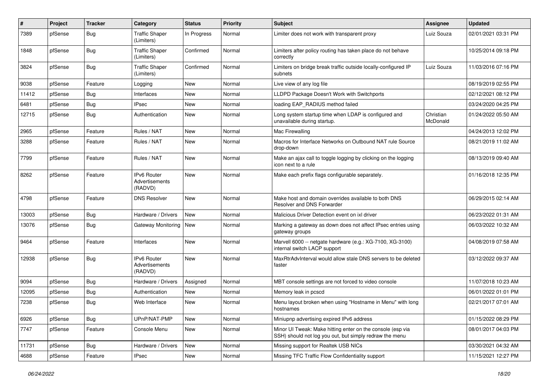| ∦     | Project | <b>Tracker</b> | Category                                        | <b>Status</b> | <b>Priority</b> | <b>Subject</b>                                                                                                        | <b>Assignee</b>       | <b>Updated</b>      |
|-------|---------|----------------|-------------------------------------------------|---------------|-----------------|-----------------------------------------------------------------------------------------------------------------------|-----------------------|---------------------|
| 7389  | pfSense | Bug            | <b>Traffic Shaper</b><br>(Limiters)             | In Progress   | Normal          | Limiter does not work with transparent proxy                                                                          | Luiz Souza            | 02/01/2021 03:31 PM |
| 1848  | pfSense | Bug            | <b>Traffic Shaper</b><br>(Limiters)             | Confirmed     | Normal          | Limiters after policy routing has taken place do not behave<br>correctly                                              |                       | 10/25/2014 09:18 PM |
| 3824  | pfSense | Bug            | <b>Traffic Shaper</b><br>(Limiters)             | Confirmed     | Normal          | Limiters on bridge break traffic outside locally-configured IP<br>subnets                                             | Luiz Souza            | 11/03/2016 07:16 PM |
| 9038  | pfSense | Feature        | Logging                                         | New           | Normal          | Live view of any log file                                                                                             |                       | 08/19/2019 02:55 PM |
| 11412 | pfSense | <b>Bug</b>     | Interfaces                                      | New           | Normal          | LLDPD Package Doesn't Work with Switchports                                                                           |                       | 02/12/2021 08:12 PM |
| 6481  | pfSense | Bug            | <b>IPsec</b>                                    | New           | Normal          | loading EAP RADIUS method failed                                                                                      |                       | 03/24/2020 04:25 PM |
| 12715 | pfSense | <b>Bug</b>     | Authentication                                  | <b>New</b>    | Normal          | Long system startup time when LDAP is configured and<br>unavailable during startup.                                   | Christian<br>McDonald | 01/24/2022 05:50 AM |
| 2965  | pfSense | Feature        | Rules / NAT                                     | <b>New</b>    | Normal          | Mac Firewalling                                                                                                       |                       | 04/24/2013 12:02 PM |
| 3288  | pfSense | Feature        | Rules / NAT                                     | New           | Normal          | Macros for Interface Networks on Outbound NAT rule Source<br>drop-down                                                |                       | 08/21/2019 11:02 AM |
| 7799  | pfSense | Feature        | Rules / NAT                                     | <b>New</b>    | Normal          | Make an ajax call to toggle logging by clicking on the logging<br>icon next to a rule                                 |                       | 08/13/2019 09:40 AM |
| 8262  | pfSense | Feature        | IPv6 Router<br>Advertisements<br>(RADVD)        | New           | Normal          | Make each prefix flags configurable separately.                                                                       |                       | 01/16/2018 12:35 PM |
| 4798  | pfSense | Feature        | <b>DNS Resolver</b>                             | New           | Normal          | Make host and domain overrides available to both DNS<br>Resolver and DNS Forwarder                                    |                       | 06/29/2015 02:14 AM |
| 13003 | pfSense | Bug            | Hardware / Drivers                              | New           | Normal          | Malicious Driver Detection event on ixl driver                                                                        |                       | 06/23/2022 01:31 AM |
| 13076 | pfSense | Bug            | Gateway Monitoring                              | New           | Normal          | Marking a gateway as down does not affect IPsec entries using<br>gateway groups                                       |                       | 06/03/2022 10:32 AM |
| 9464  | pfSense | Feature        | Interfaces                                      | New           | Normal          | Marvell 6000 -- netgate hardware (e.g.: XG-7100, XG-3100)<br>internal switch LACP support                             |                       | 04/08/2019 07:58 AM |
| 12938 | pfSense | Bug            | <b>IPv6 Router</b><br>Advertisements<br>(RADVD) | New           | Normal          | MaxRtrAdvInterval would allow stale DNS servers to be deleted<br>faster                                               |                       | 03/12/2022 09:37 AM |
| 9094  | pfSense | Bug            | Hardware / Drivers                              | Assigned      | Normal          | MBT console settings are not forced to video console                                                                  |                       | 11/07/2018 10:23 AM |
| 12095 | pfSense | Bug            | Authentication                                  | New           | Normal          | Memory leak in pcscd                                                                                                  |                       | 06/01/2022 01:01 PM |
| 7238  | pfSense | Bug            | Web Interface                                   | <b>New</b>    | Normal          | Menu layout broken when using "Hostname in Menu" with long<br>hostnames                                               |                       | 02/21/2017 07:01 AM |
| 6926  | pfSense | Bug            | UPnP/NAT-PMP                                    | New           | Normal          | Miniupnp advertising expired IPv6 address                                                                             |                       | 01/15/2022 08:29 PM |
| 7747  | pfSense | Feature        | Console Menu                                    | New           | Normal          | Minor UI Tweak: Make hitting enter on the console (esp via<br>SSH) should not log you out, but simply redraw the menu |                       | 08/01/2017 04:03 PM |
| 11731 | pfSense | <b>Bug</b>     | Hardware / Drivers                              | New           | Normal          | Missing support for Realtek USB NICs                                                                                  |                       | 03/30/2021 04:32 AM |
| 4688  | pfSense | Feature        | IPsec                                           | New           | Normal          | Missing TFC Traffic Flow Confidentiality support                                                                      |                       | 11/15/2021 12:27 PM |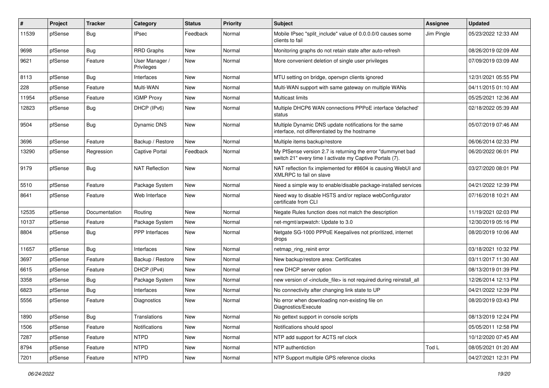| #     | Project | <b>Tracker</b> | Category                     | <b>Status</b> | <b>Priority</b> | <b>Subject</b>                                                                                                          | <b>Assignee</b> | <b>Updated</b>      |
|-------|---------|----------------|------------------------------|---------------|-----------------|-------------------------------------------------------------------------------------------------------------------------|-----------------|---------------------|
| 11539 | pfSense | <b>Bug</b>     | <b>IPsec</b>                 | Feedback      | Normal          | Mobile IPsec "split include" value of 0.0.0.0/0 causes some<br>clients to fail                                          | Jim Pingle      | 05/23/2022 12:33 AM |
| 9698  | pfSense | Bug            | <b>RRD Graphs</b>            | New           | Normal          | Monitoring graphs do not retain state after auto-refresh                                                                |                 | 08/26/2019 02:09 AM |
| 9621  | pfSense | Feature        | User Manager /<br>Privileges | New           | Normal          | More convenient deletion of single user privileges                                                                      |                 | 07/09/2019 03:09 AM |
| 8113  | pfSense | Bug            | Interfaces                   | New           | Normal          | MTU setting on bridge, openypn clients ignored                                                                          |                 | 12/31/2021 05:55 PM |
| 228   | pfSense | Feature        | Multi-WAN                    | New           | Normal          | Multi-WAN support with same gateway on multiple WANs                                                                    |                 | 04/11/2015 01:10 AM |
| 11954 | pfSense | Feature        | <b>IGMP Proxy</b>            | <b>New</b>    | Normal          | <b>Multicast limits</b>                                                                                                 |                 | 05/25/2021 12:36 AM |
| 12823 | pfSense | <b>Bug</b>     | DHCP (IPv6)                  | New           | Normal          | Multiple DHCP6 WAN connections PPPoE interface 'defached'<br>status                                                     |                 | 02/18/2022 05:39 AM |
| 9504  | pfSense | <b>Bug</b>     | Dynamic DNS                  | New           | Normal          | Multiple Dynamic DNS update notifications for the same<br>interface, not differentiated by the hostname                 |                 | 05/07/2019 07:46 AM |
| 3696  | pfSense | Feature        | Backup / Restore             | <b>New</b>    | Normal          | Multiple items backup/restore                                                                                           |                 | 06/06/2014 02:33 PM |
| 13290 | pfSense | Regression     | <b>Captive Portal</b>        | Feedback      | Normal          | My PfSense version 2.7 is returning the error "dummynet bad<br>switch 21" every time I activate my Captive Portals (7). |                 | 06/20/2022 06:01 PM |
| 9179  | pfSense | <b>Bug</b>     | <b>NAT Reflection</b>        | <b>New</b>    | Normal          | NAT reflection fix implemented for #8604 is causing WebUI and<br>XMLRPC to fail on slave                                |                 | 03/27/2020 08:01 PM |
| 5510  | pfSense | Feature        | Package System               | <b>New</b>    | Normal          | Need a simple way to enable/disable package-installed services                                                          |                 | 04/21/2022 12:39 PM |
| 8641  | pfSense | Feature        | Web Interface                | <b>New</b>    | Normal          | Need way to disable HSTS and/or replace webConfigurator<br>certificate from CLI                                         |                 | 07/16/2018 10:21 AM |
| 12535 | pfSense | Documentation  | Routing                      | <b>New</b>    | Normal          | Negate Rules function does not match the description                                                                    |                 | 11/19/2021 02:03 PM |
| 10137 | pfSense | Feature        | Package System               | New           | Normal          | net-mgmt/arpwatch: Update to 3.0                                                                                        |                 | 12/30/2019 05:16 PM |
| 8804  | pfSense | <b>Bug</b>     | <b>PPP</b> Interfaces        | New           | Normal          | Netgate SG-1000 PPPoE Keepalives not prioritized, internet<br>drops                                                     |                 | 08/20/2019 10:06 AM |
| 11657 | pfSense | Bug            | Interfaces                   | New           | Normal          | netmap_ring_reinit error                                                                                                |                 | 03/18/2021 10:32 PM |
| 3697  | pfSense | Feature        | Backup / Restore             | New           | Normal          | New backup/restore area: Certificates                                                                                   |                 | 03/11/2017 11:30 AM |
| 6615  | pfSense | Feature        | DHCP (IPv4)                  | <b>New</b>    | Normal          | new DHCP server option                                                                                                  |                 | 08/13/2019 01:39 PM |
| 3358  | pfSense | <b>Bug</b>     | Package System               | New           | Normal          | new version of <include_file> is not required during reinstall_all</include_file>                                       |                 | 12/26/2014 12:13 PM |
| 6823  | pfSense | <b>Bug</b>     | Interfaces                   | <b>New</b>    | Normal          | No connectivity after changing link state to UP                                                                         |                 | 04/21/2022 12:39 PM |
| 5556  | pfSense | Feature        | Diagnostics                  | New           | Normal          | No error when downloading non-existing file on<br>Diagnostics/Execute                                                   |                 | 08/20/2019 03:43 PM |
| 1890  | pfSense | Bug            | Translations                 | New           | Normal          | No gettext support in console scripts                                                                                   |                 | 08/13/2019 12:24 PM |
| 1506  | pfSense | Feature        | Notifications                | New           | Normal          | Notifications should spool                                                                                              |                 | 05/05/2011 12:58 PM |
| 7287  | pfSense | Feature        | <b>NTPD</b>                  | New           | Normal          | NTP add support for ACTS ref clock                                                                                      |                 | 10/12/2020 07:45 AM |
| 8794  | pfSense | Feature        | <b>NTPD</b>                  | New           | Normal          | NTP authentiction                                                                                                       | Tod L           | 08/05/2021 01:20 AM |
| 7201  | pfSense | Feature        | <b>NTPD</b>                  | New           | Normal          | NTP Support multiple GPS reference clocks                                                                               |                 | 04/27/2021 12:31 PM |